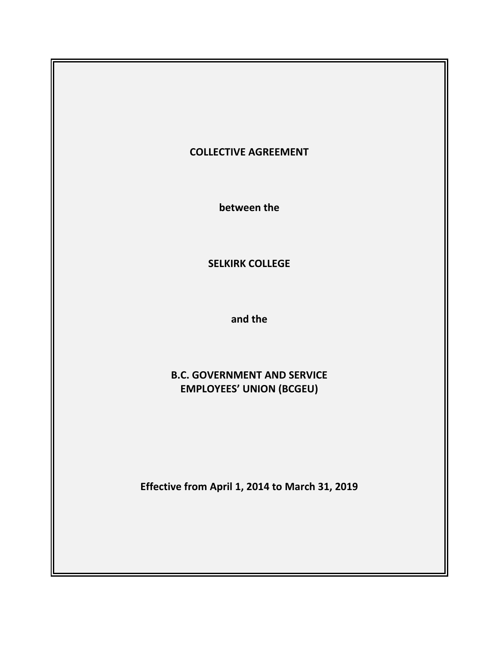# **COLLECTIVE AGREEMENT**

**between the**

**SELKIRK COLLEGE**

**and the**

# **B.C. GOVERNMENT AND SERVICE EMPLOYEES' UNION (BCGEU)**

**Effective from April 1, 2014 to March 31, 2019**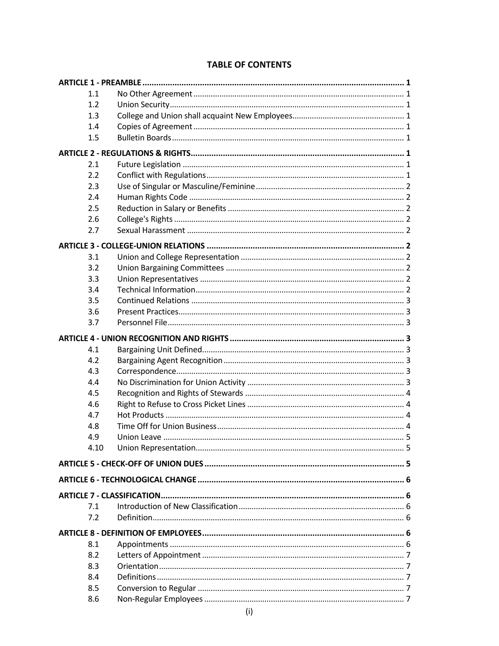|  |  | <b>TABLE OF CONTENTS</b> |
|--|--|--------------------------|
|--|--|--------------------------|

| 1.1  |              |  |
|------|--------------|--|
| 1.2  |              |  |
| 1.3  |              |  |
| 1.4  |              |  |
| 1.5  |              |  |
|      |              |  |
| 2.1  |              |  |
| 2.2  |              |  |
| 2.3  |              |  |
| 2.4  |              |  |
| 2.5  |              |  |
| 2.6  |              |  |
| 2.7  |              |  |
|      |              |  |
| 3.1  |              |  |
| 3.2  |              |  |
| 3.3  |              |  |
| 3.4  |              |  |
| 3.5  |              |  |
| 3.6  |              |  |
| 3.7  |              |  |
|      |              |  |
| 4.1  |              |  |
| 4.2  |              |  |
| 4.3  |              |  |
| 4.4  |              |  |
| 4.5  |              |  |
| 4.6  |              |  |
| 4.7  |              |  |
| 4.8  |              |  |
| 4.9  |              |  |
| 4.10 |              |  |
|      |              |  |
|      |              |  |
|      |              |  |
| 7.1  |              |  |
| 7.2  |              |  |
|      |              |  |
| 8.1  |              |  |
| 8.2  |              |  |
| 8.3  |              |  |
| 8.4  |              |  |
| 8.5  |              |  |
| 8.6  |              |  |
|      | $\mathbf{r}$ |  |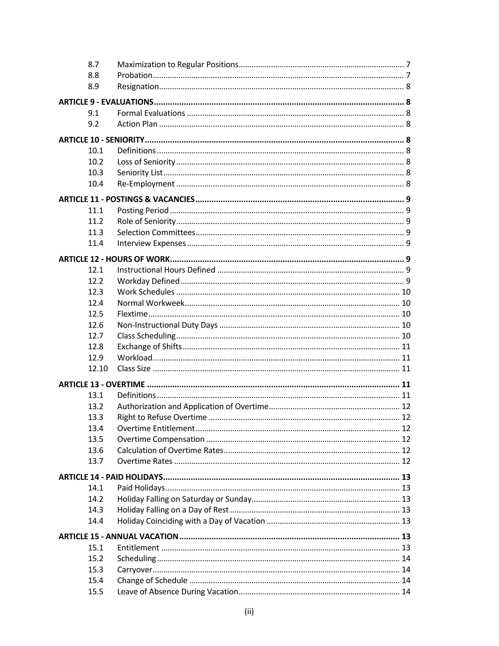| 8.7   |  |  |
|-------|--|--|
| 8.8   |  |  |
| 8.9   |  |  |
|       |  |  |
| 9.1   |  |  |
| 9.2   |  |  |
|       |  |  |
| 10.1  |  |  |
| 10.2  |  |  |
| 10.3  |  |  |
| 10.4  |  |  |
|       |  |  |
| 11.1  |  |  |
| 11.2  |  |  |
| 11.3  |  |  |
| 11.4  |  |  |
|       |  |  |
| 12.1  |  |  |
| 12.2  |  |  |
| 12.3  |  |  |
| 12.4  |  |  |
| 12.5  |  |  |
| 12.6  |  |  |
| 12.7  |  |  |
|       |  |  |
| 12.8  |  |  |
| 12.9  |  |  |
| 12.10 |  |  |
|       |  |  |
| 13.1  |  |  |
| 13.2  |  |  |
| 13.3  |  |  |
| 13.4  |  |  |
| 13.5  |  |  |
| 13.6  |  |  |
| 13.7  |  |  |
|       |  |  |
| 14.1  |  |  |
| 14.2  |  |  |
| 14.3  |  |  |
| 14.4  |  |  |
|       |  |  |
| 15.1  |  |  |
| 15.2  |  |  |
| 15.3  |  |  |
| 15.4  |  |  |
| 15.5  |  |  |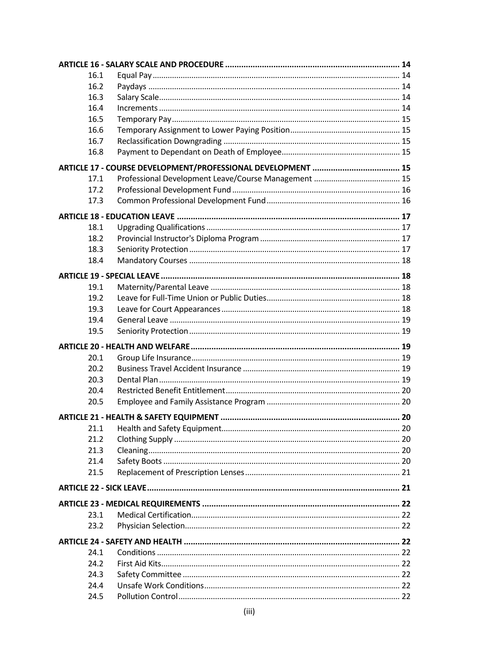| 16.1 |  |
|------|--|
| 16.2 |  |
| 16.3 |  |
| 16.4 |  |
| 16.5 |  |
| 16.6 |  |
| 16.7 |  |
| 16.8 |  |
|      |  |
| 17.1 |  |
| 17.2 |  |
| 17.3 |  |
|      |  |
| 18.1 |  |
| 18.2 |  |
| 18.3 |  |
|      |  |
| 18.4 |  |
|      |  |
| 19.1 |  |
| 19.2 |  |
| 19.3 |  |
| 19.4 |  |
| 19.5 |  |
|      |  |
| 20.1 |  |
| 20.2 |  |
| 20.3 |  |
| 20.4 |  |
| 20.5 |  |
|      |  |
| 21.1 |  |
| 21.2 |  |
| 21.3 |  |
| 21.4 |  |
| 21.5 |  |
|      |  |
|      |  |
|      |  |
| 23.1 |  |
| 23.2 |  |
|      |  |
| 24.1 |  |
| 24.2 |  |
| 24.3 |  |
| 24.4 |  |
| 24.5 |  |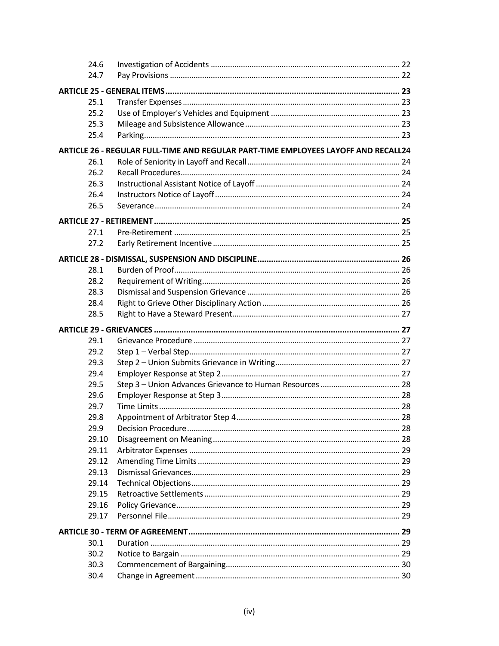| 24.6  |                                                                                    |  |
|-------|------------------------------------------------------------------------------------|--|
| 24.7  |                                                                                    |  |
|       |                                                                                    |  |
| 25.1  |                                                                                    |  |
| 25.2  |                                                                                    |  |
| 25.3  |                                                                                    |  |
| 25.4  |                                                                                    |  |
|       | ARTICLE 26 - REGULAR FULL-TIME AND REGULAR PART-TIME EMPLOYEES LAYOFF AND RECALL24 |  |
| 26.1  |                                                                                    |  |
| 26.2  |                                                                                    |  |
| 26.3  |                                                                                    |  |
| 26.4  |                                                                                    |  |
| 26.5  |                                                                                    |  |
|       |                                                                                    |  |
|       |                                                                                    |  |
| 27.1  |                                                                                    |  |
| 27.2  |                                                                                    |  |
|       |                                                                                    |  |
| 28.1  |                                                                                    |  |
| 28.2  |                                                                                    |  |
| 28.3  |                                                                                    |  |
| 28.4  |                                                                                    |  |
| 28.5  |                                                                                    |  |
|       |                                                                                    |  |
|       |                                                                                    |  |
| 29.1  |                                                                                    |  |
| 29.2  |                                                                                    |  |
| 29.3  |                                                                                    |  |
| 29.4  |                                                                                    |  |
| 29.5  |                                                                                    |  |
| 29.6  |                                                                                    |  |
| 29.7  |                                                                                    |  |
| 29.8  |                                                                                    |  |
| 29.9  |                                                                                    |  |
| 29.10 |                                                                                    |  |
| 29.11 |                                                                                    |  |
| 29.12 |                                                                                    |  |
| 29.13 |                                                                                    |  |
| 29.14 |                                                                                    |  |
| 29.15 |                                                                                    |  |
| 29.16 |                                                                                    |  |
| 29.17 |                                                                                    |  |
|       |                                                                                    |  |
| 30.1  |                                                                                    |  |
| 30.2  |                                                                                    |  |
| 30.3  |                                                                                    |  |
| 30.4  |                                                                                    |  |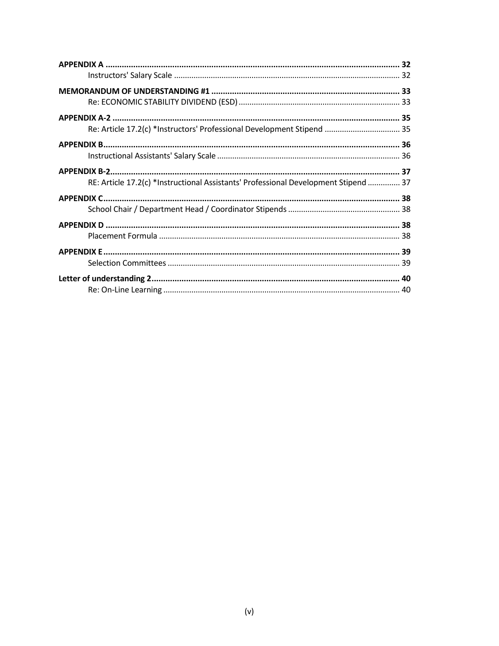| Re: Article 17.2(c) *Instructors' Professional Development Stipend  35              |  |
|-------------------------------------------------------------------------------------|--|
|                                                                                     |  |
|                                                                                     |  |
|                                                                                     |  |
| RE: Article 17.2(c) *Instructional Assistants' Professional Development Stipend  37 |  |
|                                                                                     |  |
|                                                                                     |  |
|                                                                                     |  |
|                                                                                     |  |
|                                                                                     |  |
|                                                                                     |  |
|                                                                                     |  |
|                                                                                     |  |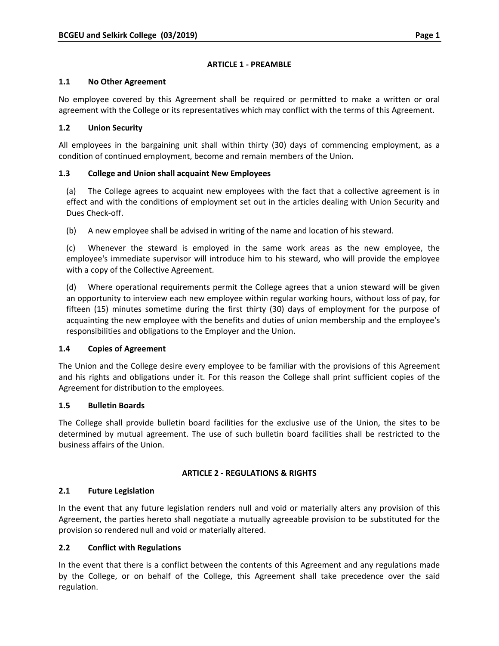### **ARTICLE 1 ‐ PREAMBLE**

### **1.1 No Other Agreement**

No employee covered by this Agreement shall be required or permitted to make a written or oral agreement with the College or its representatives which may conflict with the terms of this Agreement.

### **1.2 Union Security**

All employees in the bargaining unit shall within thirty (30) days of commencing employment, as a condition of continued employment, become and remain members of the Union.

# **1.3 College and Union shall acquaint New Employees**

(a) The College agrees to acquaint new employees with the fact that a collective agreement is in effect and with the conditions of employment set out in the articles dealing with Union Security and Dues Check‐off.

(b) A new employee shall be advised in writing of the name and location of his steward.

(c) Whenever the steward is employed in the same work areas as the new employee, the employee's immediate supervisor will introduce him to his steward, who will provide the employee with a copy of the Collective Agreement.

(d) Where operational requirements permit the College agrees that a union steward will be given an opportunity to interview each new employee within regular working hours, without loss of pay, for fifteen (15) minutes sometime during the first thirty (30) days of employment for the purpose of acquainting the new employee with the benefits and duties of union membership and the employee's responsibilities and obligations to the Employer and the Union.

### **1.4 Copies of Agreement**

The Union and the College desire every employee to be familiar with the provisions of this Agreement and his rights and obligations under it. For this reason the College shall print sufficient copies of the Agreement for distribution to the employees.

# **1.5 Bulletin Boards**

The College shall provide bulletin board facilities for the exclusive use of the Union, the sites to be determined by mutual agreement. The use of such bulletin board facilities shall be restricted to the business affairs of the Union.

### **ARTICLE 2 ‐ REGULATIONS & RIGHTS**

### **2.1 Future Legislation**

In the event that any future legislation renders null and void or materially alters any provision of this Agreement, the parties hereto shall negotiate a mutually agreeable provision to be substituted for the provision so rendered null and void or materially altered.

### **2.2 Conflict with Regulations**

In the event that there is a conflict between the contents of this Agreement and any regulations made by the College, or on behalf of the College, this Agreement shall take precedence over the said regulation.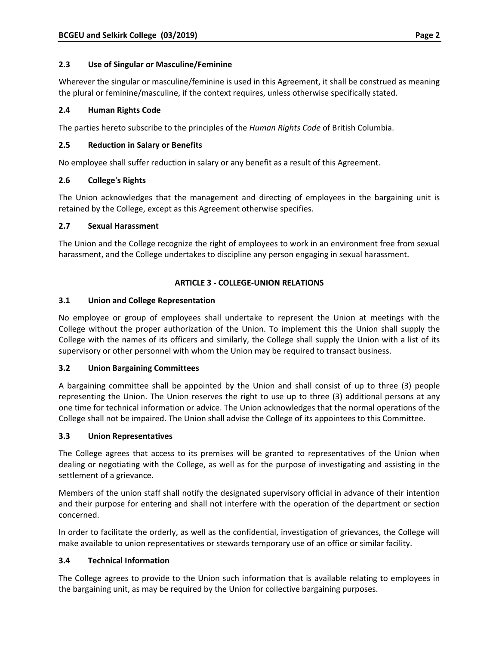# **2.3 Use of Singular or Masculine/Feminine**

Wherever the singular or masculine/feminine is used in this Agreement, it shall be construed as meaning the plural or feminine/masculine, if the context requires, unless otherwise specifically stated.

# **2.4 Human Rights Code**

The parties hereto subscribe to the principles of the *Human Rights Code* of British Columbia.

# **2.5 Reduction in Salary or Benefits**

No employee shall suffer reduction in salary or any benefit as a result of this Agreement.

# **2.6 College's Rights**

The Union acknowledges that the management and directing of employees in the bargaining unit is retained by the College, except as this Agreement otherwise specifies.

# **2.7 Sexual Harassment**

The Union and the College recognize the right of employees to work in an environment free from sexual harassment, and the College undertakes to discipline any person engaging in sexual harassment.

# **ARTICLE 3 ‐ COLLEGE‐UNION RELATIONS**

# **3.1 Union and College Representation**

No employee or group of employees shall undertake to represent the Union at meetings with the College without the proper authorization of the Union. To implement this the Union shall supply the College with the names of its officers and similarly, the College shall supply the Union with a list of its supervisory or other personnel with whom the Union may be required to transact business.

### **3.2 Union Bargaining Committees**

A bargaining committee shall be appointed by the Union and shall consist of up to three (3) people representing the Union. The Union reserves the right to use up to three (3) additional persons at any one time for technical information or advice. The Union acknowledges that the normal operations of the College shall not be impaired. The Union shall advise the College of its appointees to this Committee.

### **3.3 Union Representatives**

The College agrees that access to its premises will be granted to representatives of the Union when dealing or negotiating with the College, as well as for the purpose of investigating and assisting in the settlement of a grievance.

Members of the union staff shall notify the designated supervisory official in advance of their intention and their purpose for entering and shall not interfere with the operation of the department or section concerned.

In order to facilitate the orderly, as well as the confidential, investigation of grievances, the College will make available to union representatives or stewards temporary use of an office or similar facility.

# **3.4 Technical Information**

The College agrees to provide to the Union such information that is available relating to employees in the bargaining unit, as may be required by the Union for collective bargaining purposes.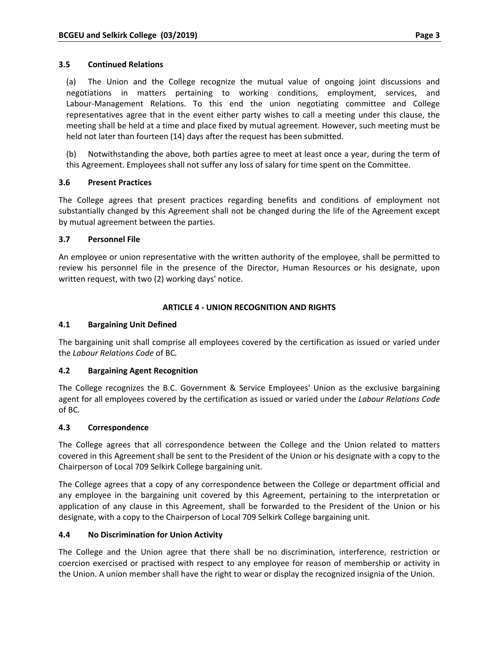### **3.5 Continued Relations**

(a) The Union and the College recognize the mutual value of ongoing joint discussions and negotiations in matters pertaining to working conditions, employment, services, and Labour‐Management Relations. To this end the union negotiating committee and College representatives agree that in the event either party wishes to call a meeting under this clause, the meeting shall be held at a time and place fixed by mutual agreement. However, such meeting must be held not later than fourteen (14) days after the request has been submitted.

(b) Notwithstanding the above, both parties agree to meet at least once a year, during the term of this Agreement. Employees shall not suffer any loss of salary for time spent on the Committee.

### **3.6 Present Practices**

The College agrees that present practices regarding benefits and conditions of employment not substantially changed by this Agreement shall not be changed during the life of the Agreement except by mutual agreement between the parties.

### **3.7 Personnel File**

An employee or union representative with the written authority of the employee, shall be permitted to review his personnel file in the presence of the Director, Human Resources or his designate, upon written request, with two (2) working days' notice.

# **ARTICLE 4 ‐ UNION RECOGNITION AND RIGHTS**

# **4.1 Bargaining Unit Defined**

The bargaining unit shall comprise all employees covered by the certification as issued or varied under the *Labour Relations Code* of BC*.*

### **4.2 Bargaining Agent Recognition**

The College recognizes the B.C. Government & Service Employees' Union as the exclusive bargaining agent for all employees covered by the certification as issued or varied under the *Labour Relations Code* of BC*.*

### **4.3 Correspondence**

The College agrees that all correspondence between the College and the Union related to matters covered in this Agreement shall be sent to the President of the Union or his designate with a copy to the Chairperson of Local 709 Selkirk College bargaining unit.

The College agrees that a copy of any correspondence between the College or department official and any employee in the bargaining unit covered by this Agreement, pertaining to the interpretation or application of any clause in this Agreement, shall be forwarded to the President of the Union or his designate, with a copy to the Chairperson of Local 709 Selkirk College bargaining unit.

### **4.4 No Discrimination for Union Activity**

The College and the Union agree that there shall be no discrimination, interference, restriction or coercion exercised or practised with respect to any employee for reason of membership or activity in the Union. A union member shall have the right to wear or display the recognized insignia of the Union.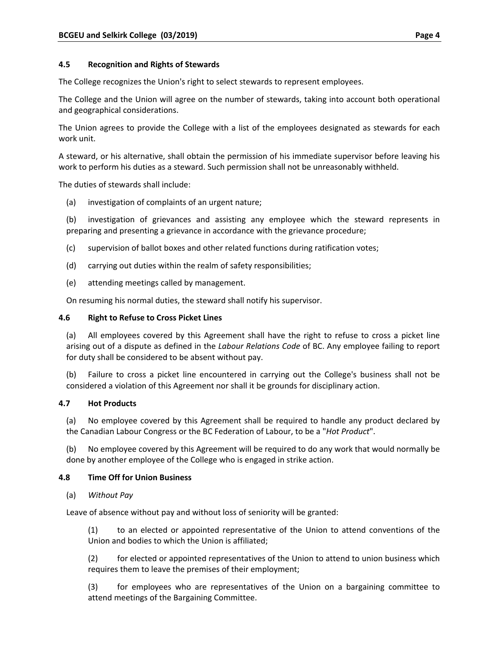### **4.5 Recognition and Rights of Stewards**

The College recognizes the Union's right to select stewards to represent employees.

The College and the Union will agree on the number of stewards, taking into account both operational and geographical considerations.

The Union agrees to provide the College with a list of the employees designated as stewards for each work unit.

A steward, or his alternative, shall obtain the permission of his immediate supervisor before leaving his work to perform his duties as a steward. Such permission shall not be unreasonably withheld.

The duties of stewards shall include:

(a) investigation of complaints of an urgent nature;

(b) investigation of grievances and assisting any employee which the steward represents in preparing and presenting a grievance in accordance with the grievance procedure;

- (c) supervision of ballot boxes and other related functions during ratification votes;
- (d) carrying out duties within the realm of safety responsibilities;
- (e) attending meetings called by management.

On resuming his normal duties, the steward shall notify his supervisor.

### **4.6 Right to Refuse to Cross Picket Lines**

(a) All employees covered by this Agreement shall have the right to refuse to cross a picket line arising out of a dispute as defined in the *Labour Relations Code* of BC. Any employee failing to report for duty shall be considered to be absent without pay.

(b) Failure to cross a picket line encountered in carrying out the College's business shall not be considered a violation of this Agreement nor shall it be grounds for disciplinary action.

### **4.7 Hot Products**

(a) No employee covered by this Agreement shall be required to handle any product declared by the Canadian Labour Congress or the BC Federation of Labour, to be a "*Hot Product*".

(b) No employee covered by this Agreement will be required to do any work that would normally be done by another employee of the College who is engaged in strike action.

### **4.8 Time Off for Union Business**

### (a) *Without Pay*

Leave of absence without pay and without loss of seniority will be granted:

(1) to an elected or appointed representative of the Union to attend conventions of the Union and bodies to which the Union is affiliated;

(2) for elected or appointed representatives of the Union to attend to union business which requires them to leave the premises of their employment;

(3) for employees who are representatives of the Union on a bargaining committee to attend meetings of the Bargaining Committee.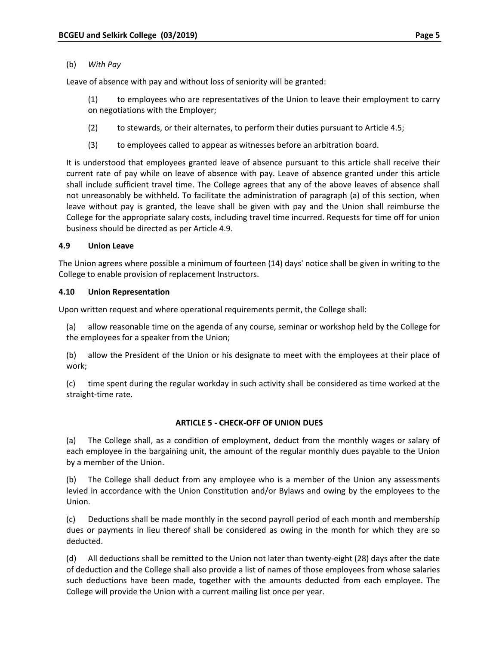Leave of absence with pay and without loss of seniority will be granted:

- (1) to employees who are representatives of the Union to leave their employment to carry on negotiations with the Employer;
- (2) to stewards, or their alternates, to perform their duties pursuant to Article 4.5;
- (3) to employees called to appear as witnesses before an arbitration board.

It is understood that employees granted leave of absence pursuant to this article shall receive their current rate of pay while on leave of absence with pay. Leave of absence granted under this article shall include sufficient travel time. The College agrees that any of the above leaves of absence shall not unreasonably be withheld. To facilitate the administration of paragraph (a) of this section, when leave without pay is granted, the leave shall be given with pay and the Union shall reimburse the College for the appropriate salary costs, including travel time incurred. Requests for time off for union business should be directed as per Article 4.9.

# **4.9 Union Leave**

The Union agrees where possible a minimum of fourteen (14) days' notice shall be given in writing to the College to enable provision of replacement Instructors.

# **4.10 Union Representation**

Upon written request and where operational requirements permit, the College shall:

(a) allow reasonable time on the agenda of any course, seminar or workshop held by the College for the employees for a speaker from the Union;

(b) allow the President of the Union or his designate to meet with the employees at their place of work;

(c) time spent during the regular workday in such activity shall be considered as time worked at the straight‐time rate.

### **ARTICLE 5 ‐ CHECK‐OFF OF UNION DUES**

(a) The College shall, as a condition of employment, deduct from the monthly wages or salary of each employee in the bargaining unit, the amount of the regular monthly dues payable to the Union by a member of the Union.

(b) The College shall deduct from any employee who is a member of the Union any assessments levied in accordance with the Union Constitution and/or Bylaws and owing by the employees to the Union.

(c) Deductions shall be made monthly in the second payroll period of each month and membership dues or payments in lieu thereof shall be considered as owing in the month for which they are so deducted.

(d) All deductions shall be remitted to the Union not later than twenty‐eight (28) days after the date of deduction and the College shall also provide a list of names of those employees from whose salaries such deductions have been made, together with the amounts deducted from each employee. The College will provide the Union with a current mailing list once per year.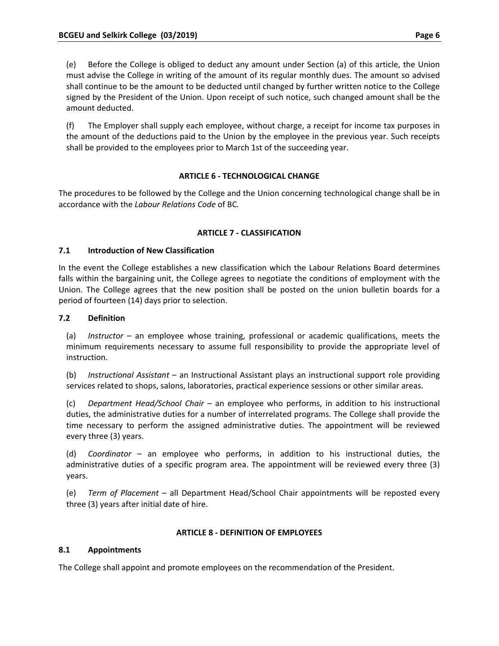(e) Before the College is obliged to deduct any amount under Section (a) of this article, the Union must advise the College in writing of the amount of its regular monthly dues. The amount so advised shall continue to be the amount to be deducted until changed by further written notice to the College signed by the President of the Union. Upon receipt of such notice, such changed amount shall be the amount deducted.

(f) The Employer shall supply each employee, without charge, a receipt for income tax purposes in the amount of the deductions paid to the Union by the employee in the previous year. Such receipts shall be provided to the employees prior to March 1st of the succeeding year.

### **ARTICLE 6 ‐ TECHNOLOGICAL CHANGE**

The procedures to be followed by the College and the Union concerning technological change shall be in accordance with the *Labour Relations Code* of BC*.*

# **ARTICLE 7 ‐ CLASSIFICATION**

### **7.1 Introduction of New Classification**

In the event the College establishes a new classification which the Labour Relations Board determines falls within the bargaining unit, the College agrees to negotiate the conditions of employment with the Union. The College agrees that the new position shall be posted on the union bulletin boards for a period of fourteen (14) days prior to selection.

# **7.2 Definition**

(a) *Instructor* – an employee whose training, professional or academic qualifications, meets the minimum requirements necessary to assume full responsibility to provide the appropriate level of instruction.

(b) *Instructional Assistant* – an Instructional Assistant plays an instructional support role providing services related to shops, salons, laboratories, practical experience sessions or other similar areas.

(c) *Department Head/School Chair* – an employee who performs, in addition to his instructional duties, the administrative duties for a number of interrelated programs. The College shall provide the time necessary to perform the assigned administrative duties. The appointment will be reviewed every three (3) years.

(d) *Coordinator* – an employee who performs, in addition to his instructional duties, the administrative duties of a specific program area. The appointment will be reviewed every three (3) years.

(e) *Term of Placement* – all Department Head/School Chair appointments will be reposted every three (3) years after initial date of hire.

### **ARTICLE 8 ‐ DEFINITION OF EMPLOYEES**

# **8.1 Appointments**

The College shall appoint and promote employees on the recommendation of the President.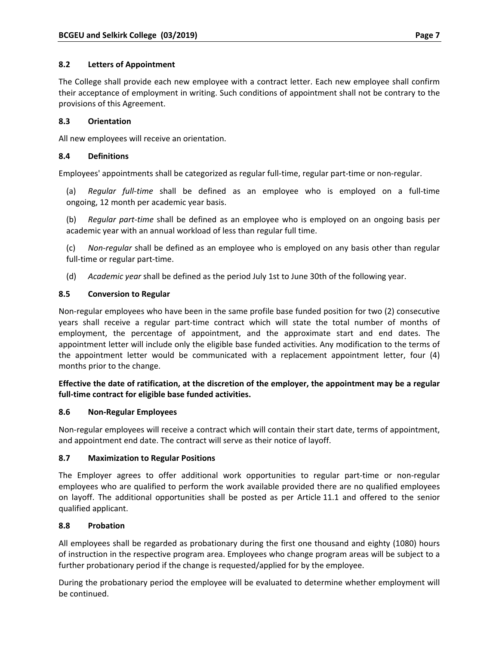# **8.2 Letters of Appointment**

The College shall provide each new employee with a contract letter. Each new employee shall confirm their acceptance of employment in writing. Such conditions of appointment shall not be contrary to the provisions of this Agreement.

# **8.3 Orientation**

All new employees will receive an orientation.

# **8.4 Definitions**

Employees' appointments shall be categorized as regular full‐time, regular part‐time or non‐regular.

(a) *Regular full‐time* shall be defined as an employee who is employed on a full‐time ongoing, 12 month per academic year basis.

(b) *Regular part‐time* shall be defined as an employee who is employed on an ongoing basis per academic year with an annual workload of less than regular full time.

(c) *Non‐regular* shall be defined as an employee who is employed on any basis other than regular full-time or regular part-time.

(d) *Academic year* shall be defined as the period July 1st to June 30th of the following year.

# **8.5 Conversion to Regular**

Non‐regular employees who have been in the same profile base funded position for two (2) consecutive years shall receive a regular part‐time contract which will state the total number of months of employment, the percentage of appointment, and the approximate start and end dates. The appointment letter will include only the eligible base funded activities. Any modification to the terms of the appointment letter would be communicated with a replacement appointment letter, four (4) months prior to the change.

# **Effective the date of ratification, at the discretion of the employer, the appointment may be a regular full‐time contract for eligible base funded activities.**

### **8.6 Non‐Regular Employees**

Non-regular employees will receive a contract which will contain their start date, terms of appointment, and appointment end date. The contract will serve as their notice of layoff.

### **8.7 Maximization to Regular Positions**

The Employer agrees to offer additional work opportunities to regular part‐time or non‐regular employees who are qualified to perform the work available provided there are no qualified employees on layoff. The additional opportunities shall be posted as per Article 11.1 and offered to the senior qualified applicant.

### **8.8 Probation**

All employees shall be regarded as probationary during the first one thousand and eighty (1080) hours of instruction in the respective program area. Employees who change program areas will be subject to a further probationary period if the change is requested/applied for by the employee.

During the probationary period the employee will be evaluated to determine whether employment will be continued.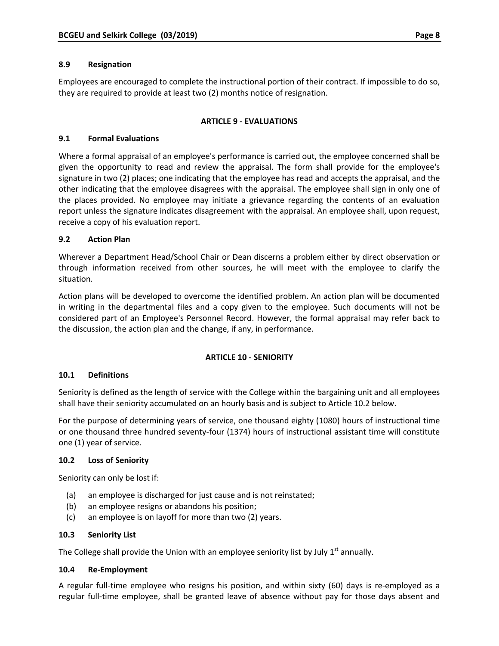Employees are encouraged to complete the instructional portion of their contract. If impossible to do so, they are required to provide at least two (2) months notice of resignation.

# **ARTICLE 9 ‐ EVALUATIONS**

# **9.1 Formal Evaluations**

Where a formal appraisal of an employee's performance is carried out, the employee concerned shall be given the opportunity to read and review the appraisal. The form shall provide for the employee's signature in two (2) places; one indicating that the employee has read and accepts the appraisal, and the other indicating that the employee disagrees with the appraisal. The employee shall sign in only one of the places provided. No employee may initiate a grievance regarding the contents of an evaluation report unless the signature indicates disagreement with the appraisal. An employee shall, upon request, receive a copy of his evaluation report.

# **9.2 Action Plan**

Wherever a Department Head/School Chair or Dean discerns a problem either by direct observation or through information received from other sources, he will meet with the employee to clarify the situation.

Action plans will be developed to overcome the identified problem. An action plan will be documented in writing in the departmental files and a copy given to the employee. Such documents will not be considered part of an Employee's Personnel Record. However, the formal appraisal may refer back to the discussion, the action plan and the change, if any, in performance.

### **ARTICLE 10 ‐ SENIORITY**

### **10.1 Definitions**

Seniority is defined as the length of service with the College within the bargaining unit and all employees shall have their seniority accumulated on an hourly basis and is subject to Article 10.2 below.

For the purpose of determining years of service, one thousand eighty (1080) hours of instructional time or one thousand three hundred seventy‐four (1374) hours of instructional assistant time will constitute one (1) year of service.

### **10.2 Loss of Seniority**

Seniority can only be lost if:

- (a) an employee is discharged for just cause and is not reinstated;
- (b) an employee resigns or abandons his position;
- (c) an employee is on layoff for more than two (2) years.

### **10.3 Seniority List**

The College shall provide the Union with an employee seniority list by July  $1<sup>st</sup>$  annually.

### **10.4 Re‐Employment**

A regular full‐time employee who resigns his position, and within sixty (60) days is re‐employed as a regular full-time employee, shall be granted leave of absence without pay for those days absent and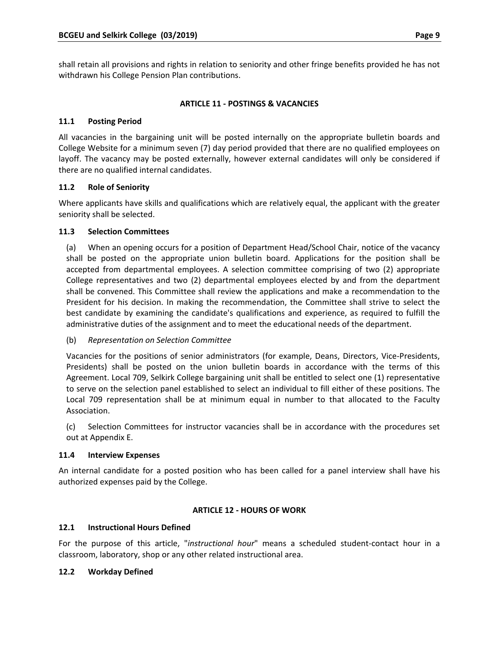shall retain all provisions and rights in relation to seniority and other fringe benefits provided he has not withdrawn his College Pension Plan contributions.

# **ARTICLE 11 ‐ POSTINGS & VACANCIES**

# **11.1 Posting Period**

All vacancies in the bargaining unit will be posted internally on the appropriate bulletin boards and College Website for a minimum seven (7) day period provided that there are no qualified employees on layoff. The vacancy may be posted externally, however external candidates will only be considered if there are no qualified internal candidates.

# **11.2 Role of Seniority**

Where applicants have skills and qualifications which are relatively equal, the applicant with the greater seniority shall be selected.

# **11.3 Selection Committees**

(a) When an opening occurs for a position of Department Head/School Chair, notice of the vacancy shall be posted on the appropriate union bulletin board. Applications for the position shall be accepted from departmental employees. A selection committee comprising of two (2) appropriate College representatives and two (2) departmental employees elected by and from the department shall be convened. This Committee shall review the applications and make a recommendation to the President for his decision. In making the recommendation, the Committee shall strive to select the best candidate by examining the candidate's qualifications and experience, as required to fulfill the administrative duties of the assignment and to meet the educational needs of the department.

### (b) *Representation on Selection Committee*

Vacancies for the positions of senior administrators (for example, Deans, Directors, Vice‐Presidents, Presidents) shall be posted on the union bulletin boards in accordance with the terms of this Agreement. Local 709, Selkirk College bargaining unit shall be entitled to select one (1) representative to serve on the selection panel established to select an individual to fill either of these positions. The Local 709 representation shall be at minimum equal in number to that allocated to the Faculty Association.

(c) Selection Committees for instructor vacancies shall be in accordance with the procedures set out at Appendix E.

### **11.4 Interview Expenses**

An internal candidate for a posted position who has been called for a panel interview shall have his authorized expenses paid by the College.

### **ARTICLE 12 ‐ HOURS OF WORK**

### **12.1 Instructional Hours Defined**

For the purpose of this article, "*instructional hour*" means a scheduled student‐contact hour in a classroom, laboratory, shop or any other related instructional area.

### **12.2 Workday Defined**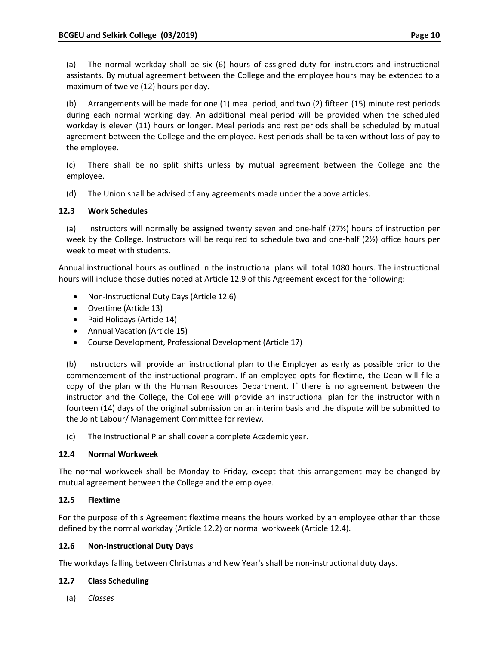(a) The normal workday shall be six (6) hours of assigned duty for instructors and instructional assistants. By mutual agreement between the College and the employee hours may be extended to a maximum of twelve (12) hours per day.

(b) Arrangements will be made for one (1) meal period, and two (2) fifteen (15) minute rest periods during each normal working day. An additional meal period will be provided when the scheduled workday is eleven (11) hours or longer. Meal periods and rest periods shall be scheduled by mutual agreement between the College and the employee. Rest periods shall be taken without loss of pay to the employee.

(c) There shall be no split shifts unless by mutual agreement between the College and the employee.

(d) The Union shall be advised of any agreements made under the above articles.

# **12.3 Work Schedules**

(a) Instructors will normally be assigned twenty seven and one‐half (27½) hours of instruction per week by the College. Instructors will be required to schedule two and one‐half (2½) office hours per week to meet with students.

Annual instructional hours as outlined in the instructional plans will total 1080 hours. The instructional hours will include those duties noted at Article 12.9 of this Agreement except for the following:

- Non-Instructional Duty Days (Article 12.6)
- Overtime (Article 13)
- Paid Holidays (Article 14)
- Annual Vacation (Article 15)
- Course Development, Professional Development (Article 17)

(b) Instructors will provide an instructional plan to the Employer as early as possible prior to the commencement of the instructional program. If an employee opts for flextime, the Dean will file a copy of the plan with the Human Resources Department. If there is no agreement between the instructor and the College, the College will provide an instructional plan for the instructor within fourteen (14) days of the original submission on an interim basis and the dispute will be submitted to the Joint Labour/ Management Committee for review.

(c) The Instructional Plan shall cover a complete Academic year.

### **12.4 Normal Workweek**

The normal workweek shall be Monday to Friday, except that this arrangement may be changed by mutual agreement between the College and the employee.

### **12.5 Flextime**

For the purpose of this Agreement flextime means the hours worked by an employee other than those defined by the normal workday (Article 12.2) or normal workweek (Article 12.4).

### **12.6 Non‐Instructional Duty Days**

The workdays falling between Christmas and New Year's shall be non‐instructional duty days.

# **12.7 Class Scheduling**

(a) *Classes*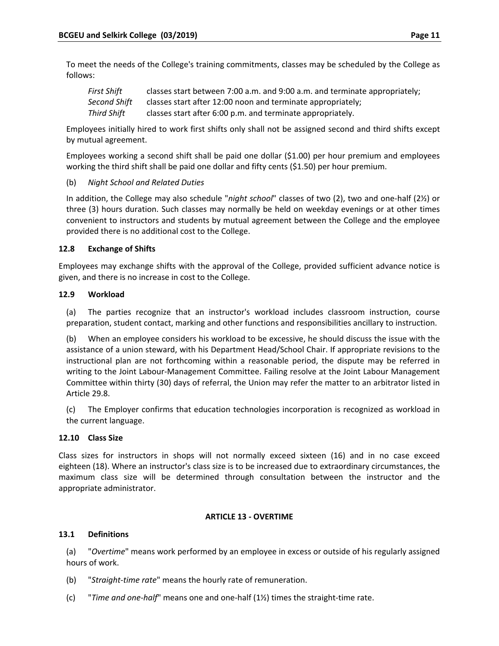To meet the needs of the College's training commitments, classes may be scheduled by the College as follows:

| First Shift  | classes start between 7:00 a.m. and 9:00 a.m. and terminate appropriately; |
|--------------|----------------------------------------------------------------------------|
| Second Shift | classes start after 12:00 noon and terminate appropriately;                |
| Third Shift  | classes start after 6:00 p.m. and terminate appropriately.                 |

Employees initially hired to work first shifts only shall not be assigned second and third shifts except by mutual agreement.

Employees working a second shift shall be paid one dollar (\$1.00) per hour premium and employees working the third shift shall be paid one dollar and fifty cents (\$1.50) per hour premium.

### (b) *Night School and Related Duties*

In addition, the College may also schedule "*night school*" classes of two (2), two and one‐half (2½) or three (3) hours duration. Such classes may normally be held on weekday evenings or at other times convenient to instructors and students by mutual agreement between the College and the employee provided there is no additional cost to the College.

### **12.8 Exchange of Shifts**

Employees may exchange shifts with the approval of the College, provided sufficient advance notice is given, and there is no increase in cost to the College.

### **12.9 Workload**

(a) The parties recognize that an instructor's workload includes classroom instruction, course preparation, student contact, marking and other functions and responsibilities ancillary to instruction.

(b) When an employee considers his workload to be excessive, he should discuss the issue with the assistance of a union steward, with his Department Head/School Chair. If appropriate revisions to the instructional plan are not forthcoming within a reasonable period, the dispute may be referred in writing to the Joint Labour‐Management Committee. Failing resolve at the Joint Labour Management Committee within thirty (30) days of referral, the Union may refer the matter to an arbitrator listed in Article 29.8.

(c) The Employer confirms that education technologies incorporation is recognized as workload in the current language.

### **12.10 Class Size**

Class sizes for instructors in shops will not normally exceed sixteen (16) and in no case exceed eighteen (18). Where an instructor's class size is to be increased due to extraordinary circumstances, the maximum class size will be determined through consultation between the instructor and the appropriate administrator.

### **ARTICLE 13 ‐ OVERTIME**

### **13.1 Definitions**

(a) "*Overtime*" means work performed by an employee in excess or outside of his regularly assigned hours of work.

- (b) "*Straight‐time rate*" means the hourly rate of remuneration.
- (c) "*Time and one‐half*" means one and one‐half (1½) times the straight‐time rate.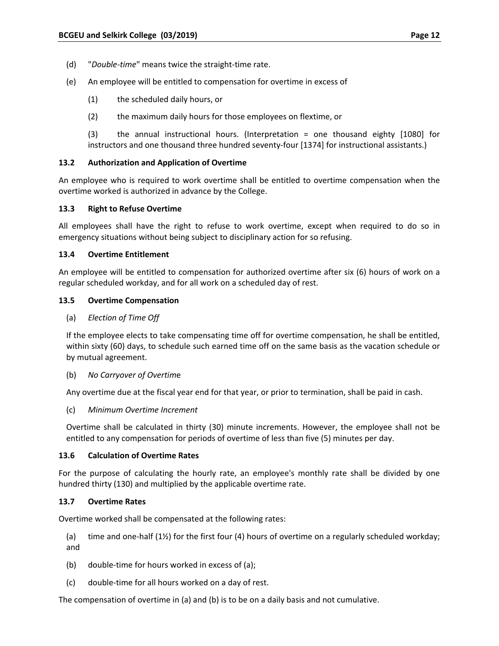- (d) "*Double‐time*" means twice the straight‐time rate.
- (e) An employee will be entitled to compensation for overtime in excess of
	- (1) the scheduled daily hours, or
	- (2) the maximum daily hours for those employees on flextime, or

(3) the annual instructional hours. (Interpretation = one thousand eighty [1080] for instructors and one thousand three hundred seventy‐four [1374] for instructional assistants.)

### **13.2 Authorization and Application of Overtime**

An employee who is required to work overtime shall be entitled to overtime compensation when the overtime worked is authorized in advance by the College.

### **13.3 Right to Refuse Overtime**

All employees shall have the right to refuse to work overtime, except when required to do so in emergency situations without being subject to disciplinary action for so refusing.

### **13.4 Overtime Entitlement**

An employee will be entitled to compensation for authorized overtime after six (6) hours of work on a regular scheduled workday, and for all work on a scheduled day of rest.

### **13.5 Overtime Compensation**

(a) *Election of Time Off*

If the employee elects to take compensating time off for overtime compensation, he shall be entitled, within sixty (60) days, to schedule such earned time off on the same basis as the vacation schedule or by mutual agreement.

(b) *No Carryover of Overtim*e

Any overtime due at the fiscal year end for that year, or prior to termination, shall be paid in cash.

(c) *Minimum Overtime Increment*

Overtime shall be calculated in thirty (30) minute increments. However, the employee shall not be entitled to any compensation for periods of overtime of less than five (5) minutes per day.

### **13.6 Calculation of Overtime Rates**

For the purpose of calculating the hourly rate, an employee's monthly rate shall be divided by one hundred thirty (130) and multiplied by the applicable overtime rate.

### **13.7 Overtime Rates**

Overtime worked shall be compensated at the following rates:

- (a) time and one‐half (1½) for the first four (4) hours of overtime on a regularly scheduled workday; and
- (b) double‐time for hours worked in excess of (a);
- (c) double‐time for all hours worked on a day of rest.

The compensation of overtime in (a) and (b) is to be on a daily basis and not cumulative.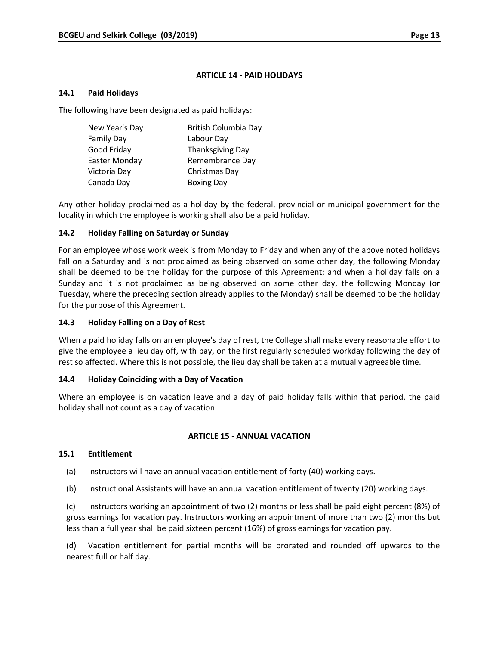### **ARTICLE 14 ‐ PAID HOLIDAYS**

### **14.1 Paid Holidays**

The following have been designated as paid holidays:

| New Year's Day    | British Columbia Day    |
|-------------------|-------------------------|
| <b>Family Day</b> | Labour Day              |
| Good Friday       | <b>Thanksgiving Day</b> |
| Easter Monday     | Remembrance Day         |
| Victoria Day      | Christmas Day           |
| Canada Day        | <b>Boxing Day</b>       |

Any other holiday proclaimed as a holiday by the federal, provincial or municipal government for the locality in which the employee is working shall also be a paid holiday.

### **14.2 Holiday Falling on Saturday or Sunday**

For an employee whose work week is from Monday to Friday and when any of the above noted holidays fall on a Saturday and is not proclaimed as being observed on some other day, the following Monday shall be deemed to be the holiday for the purpose of this Agreement; and when a holiday falls on a Sunday and it is not proclaimed as being observed on some other day, the following Monday (or Tuesday, where the preceding section already applies to the Monday) shall be deemed to be the holiday for the purpose of this Agreement.

### **14.3 Holiday Falling on a Day of Rest**

When a paid holiday falls on an employee's day of rest, the College shall make every reasonable effort to give the employee a lieu day off, with pay, on the first regularly scheduled workday following the day of rest so affected. Where this is not possible, the lieu day shall be taken at a mutually agreeable time.

### **14.4 Holiday Coinciding with a Day of Vacation**

Where an employee is on vacation leave and a day of paid holiday falls within that period, the paid holiday shall not count as a day of vacation.

### **ARTICLE 15 ‐ ANNUAL VACATION**

### **15.1 Entitlement**

- (a) Instructors will have an annual vacation entitlement of forty (40) working days.
- (b) Instructional Assistants will have an annual vacation entitlement of twenty (20) working days.

(c) Instructors working an appointment of two (2) months or less shall be paid eight percent (8%) of gross earnings for vacation pay. Instructors working an appointment of more than two (2) months but less than a full year shall be paid sixteen percent (16%) of gross earnings for vacation pay.

(d) Vacation entitlement for partial months will be prorated and rounded off upwards to the nearest full or half day.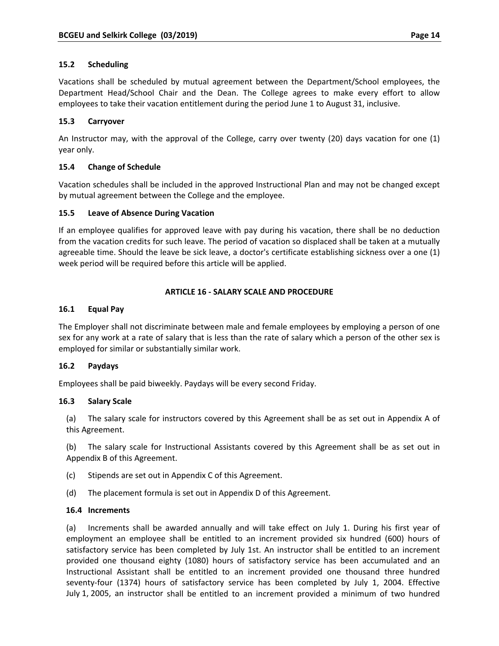### **15.2 Scheduling**

Vacations shall be scheduled by mutual agreement between the Department/School employees, the Department Head/School Chair and the Dean. The College agrees to make every effort to allow employees to take their vacation entitlement during the period June 1 to August 31, inclusive.

### **15.3 Carryover**

An Instructor may, with the approval of the College, carry over twenty (20) days vacation for one (1) year only.

### **15.4 Change of Schedule**

Vacation schedules shall be included in the approved Instructional Plan and may not be changed except by mutual agreement between the College and the employee.

### **15.5 Leave of Absence During Vacation**

If an employee qualifies for approved leave with pay during his vacation, there shall be no deduction from the vacation credits for such leave. The period of vacation so displaced shall be taken at a mutually agreeable time. Should the leave be sick leave, a doctor's certificate establishing sickness over a one (1) week period will be required before this article will be applied.

### **ARTICLE 16 ‐ SALARY SCALE AND PROCEDURE**

### **16.1 Equal Pay**

The Employer shall not discriminate between male and female employees by employing a person of one sex for any work at a rate of salary that is less than the rate of salary which a person of the other sex is employed for similar or substantially similar work.

### **16.2 Paydays**

Employees shall be paid biweekly. Paydays will be every second Friday.

### **16.3 Salary Scale**

(a) The salary scale for instructors covered by this Agreement shall be as set out in Appendix A of this Agreement.

(b) The salary scale for Instructional Assistants covered by this Agreement shall be as set out in Appendix B of this Agreement.

- (c) Stipends are set out in Appendix C of this Agreement.
- (d) The placement formula is set out in Appendix D of this Agreement.

### **16.4 Increments**

(a) Increments shall be awarded annually and will take effect on July 1. During his first year of employment an employee shall be entitled to an increment provided six hundred (600) hours of satisfactory service has been completed by July 1st. An instructor shall be entitled to an increment provided one thousand eighty (1080) hours of satisfactory service has been accumulated and an Instructional Assistant shall be entitled to an increment provided one thousand three hundred seventy-four (1374) hours of satisfactory service has been completed by July 1, 2004. Effective July 1, 2005, an instructor shall be entitled to an increment provided a minimum of two hundred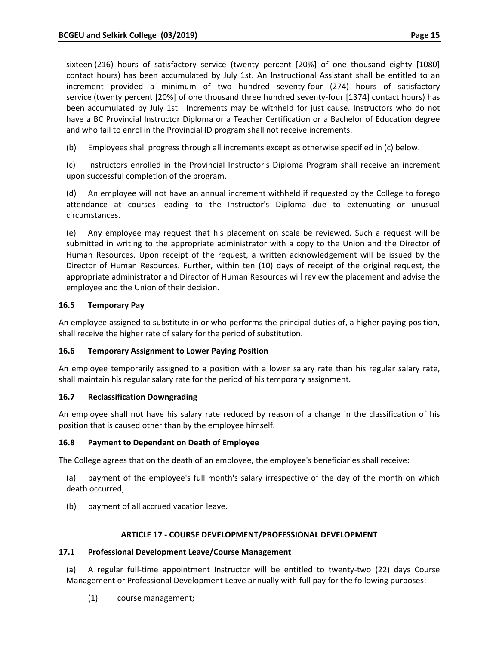sixteen (216) hours of satisfactory service (twenty percent [20%] of one thousand eighty [1080] contact hours) has been accumulated by July 1st. An Instructional Assistant shall be entitled to an increment provided a minimum of two hundred seventy-four (274) hours of satisfactory service (twenty percent [20%] of one thousand three hundred seventy‐four [1374] contact hours) has been accumulated by July 1st . Increments may be withheld for just cause. Instructors who do not have a BC Provincial Instructor Diploma or a Teacher Certification or a Bachelor of Education degree and who fail to enrol in the Provincial ID program shall not receive increments.

(b) Employees shall progress through all increments except as otherwise specified in (c) below.

(c) Instructors enrolled in the Provincial Instructor's Diploma Program shall receive an increment upon successful completion of the program.

(d) An employee will not have an annual increment withheld if requested by the College to forego attendance at courses leading to the Instructor's Diploma due to extenuating or unusual circumstances.

(e) Any employee may request that his placement on scale be reviewed. Such a request will be submitted in writing to the appropriate administrator with a copy to the Union and the Director of Human Resources. Upon receipt of the request, a written acknowledgement will be issued by the Director of Human Resources. Further, within ten (10) days of receipt of the original request, the appropriate administrator and Director of Human Resources will review the placement and advise the employee and the Union of their decision.

### **16.5 Temporary Pay**

An employee assigned to substitute in or who performs the principal duties of, a higher paying position, shall receive the higher rate of salary for the period of substitution.

### **16.6 Temporary Assignment to Lower Paying Position**

An employee temporarily assigned to a position with a lower salary rate than his regular salary rate, shall maintain his regular salary rate for the period of his temporary assignment.

### **16.7 Reclassification Downgrading**

An employee shall not have his salary rate reduced by reason of a change in the classification of his position that is caused other than by the employee himself.

### **16.8 Payment to Dependant on Death of Employee**

The College agrees that on the death of an employee, the employee's beneficiaries shall receive:

(a) payment of the employee's full month's salary irrespective of the day of the month on which death occurred;

(b) payment of all accrued vacation leave.

### **ARTICLE 17 ‐ COURSE DEVELOPMENT/PROFESSIONAL DEVELOPMENT**

### **17.1 Professional Development Leave/Course Management**

(a) A regular full‐time appointment Instructor will be entitled to twenty‐two (22) days Course Management or Professional Development Leave annually with full pay for the following purposes:

(1) course management;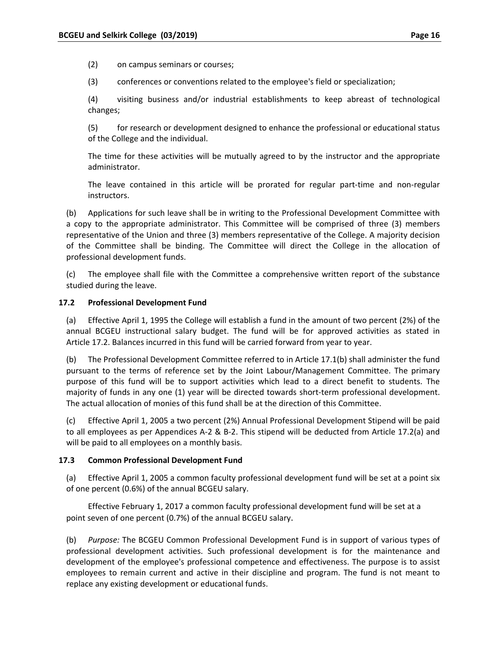(2) on campus seminars or courses;

(3) conferences or conventions related to the employee's field or specialization;

(4) visiting business and/or industrial establishments to keep abreast of technological changes;

(5) for research or development designed to enhance the professional or educational status of the College and the individual.

The time for these activities will be mutually agreed to by the instructor and the appropriate administrator.

The leave contained in this article will be prorated for regular part-time and non-regular instructors.

(b) Applications for such leave shall be in writing to the Professional Development Committee with a copy to the appropriate administrator. This Committee will be comprised of three (3) members representative of the Union and three (3) members representative of the College. A majority decision of the Committee shall be binding. The Committee will direct the College in the allocation of professional development funds.

(c) The employee shall file with the Committee a comprehensive written report of the substance studied during the leave.

#### **17.2 Professional Development Fund**

(a) Effective April 1, 1995 the College will establish a fund in the amount of two percent (2%) of the annual BCGEU instructional salary budget. The fund will be for approved activities as stated in Article 17.2. Balances incurred in this fund will be carried forward from year to year.

(b) The Professional Development Committee referred to in Article 17.1(b) shall administer the fund pursuant to the terms of reference set by the Joint Labour/Management Committee. The primary purpose of this fund will be to support activities which lead to a direct benefit to students. The majority of funds in any one (1) year will be directed towards short‐term professional development. The actual allocation of monies of this fund shall be at the direction of this Committee.

(c) Effective April 1, 2005 a two percent (2%) Annual Professional Development Stipend will be paid to all employees as per Appendices A‐2 & B‐2. This stipend will be deducted from Article 17.2(a) and will be paid to all employees on a monthly basis.

#### **17.3 Common Professional Development Fund**

(a) Effective April 1, 2005 a common faculty professional development fund will be set at a point six of one percent (0.6%) of the annual BCGEU salary.

Effective February 1, 2017 a common faculty professional development fund will be set at a point seven of one percent (0.7%) of the annual BCGEU salary.

(b) *Purpose:* The BCGEU Common Professional Development Fund is in support of various types of professional development activities. Such professional development is for the maintenance and development of the employee's professional competence and effectiveness. The purpose is to assist employees to remain current and active in their discipline and program. The fund is not meant to replace any existing development or educational funds.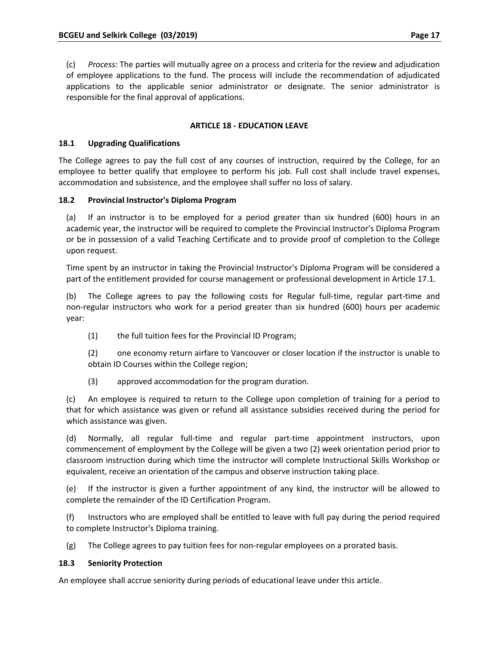(c) *Process:* The parties will mutually agree on a process and criteria for the review and adjudication of employee applications to the fund. The process will include the recommendation of adjudicated applications to the applicable senior administrator or designate. The senior administrator is responsible for the final approval of applications.

# **ARTICLE 18 ‐ EDUCATION LEAVE**

### **18.1 Upgrading Qualifications**

The College agrees to pay the full cost of any courses of instruction, required by the College, for an employee to better qualify that employee to perform his job. Full cost shall include travel expenses, accommodation and subsistence, and the employee shall suffer no loss of salary.

# **18.2 Provincial Instructor's Diploma Program**

(a) If an instructor is to be employed for a period greater than six hundred (600) hours in an academic year, the instructor will be required to complete the Provincial Instructor's Diploma Program or be in possession of a valid Teaching Certificate and to provide proof of completion to the College upon request.

Time spent by an instructor in taking the Provincial Instructor's Diploma Program will be considered a part of the entitlement provided for course management or professional development in Article 17.1.

(b) The College agrees to pay the following costs for Regular full‐time, regular part‐time and non‐regular instructors who work for a period greater than six hundred (600) hours per academic year:

(1) the full tuition fees for the Provincial ID Program;

(2) one economy return airfare to Vancouver or closer location if the instructor is unable to obtain ID Courses within the College region;

(3) approved accommodation for the program duration.

(c) An employee is required to return to the College upon completion of training for a period to that for which assistance was given or refund all assistance subsidies received during the period for which assistance was given.

(d) Normally, all regular full‐time and regular part‐time appointment instructors, upon commencement of employment by the College will be given a two (2) week orientation period prior to classroom instruction during which time the instructor will complete Instructional Skills Workshop or equivalent, receive an orientation of the campus and observe instruction taking place.

(e) If the instructor is given a further appointment of any kind, the instructor will be allowed to complete the remainder of the ID Certification Program.

(f) Instructors who are employed shall be entitled to leave with full pay during the period required to complete Instructor's Diploma training.

(g) The College agrees to pay tuition fees for non‐regular employees on a prorated basis.

### **18.3 Seniority Protection**

An employee shall accrue seniority during periods of educational leave under this article.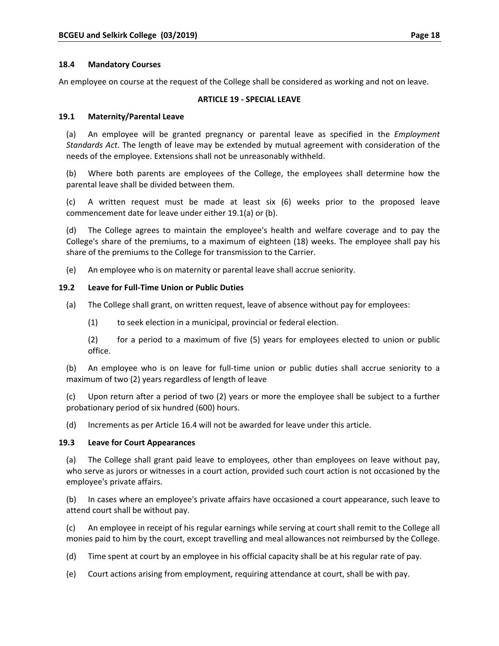### **18.4 Mandatory Courses**

An employee on course at the request of the College shall be considered as working and not on leave.

### **ARTICLE 19 ‐ SPECIAL LEAVE**

### **19.1 Maternity/Parental Leave**

(a) An employee will be granted pregnancy or parental leave as specified in the *Employment Standards Act*. The length of leave may be extended by mutual agreement with consideration of the needs of the employee. Extensions shall not be unreasonably withheld.

(b) Where both parents are employees of the College, the employees shall determine how the parental leave shall be divided between them.

(c) A written request must be made at least six (6) weeks prior to the proposed leave commencement date for leave under either 19.1(a) or (b).

(d) The College agrees to maintain the employee's health and welfare coverage and to pay the College's share of the premiums, to a maximum of eighteen (18) weeks. The employee shall pay his share of the premiums to the College for transmission to the Carrier.

(e) An employee who is on maternity or parental leave shall accrue seniority.

#### **19.2 Leave for Full‐Time Union or Public Duties**

- (a) The College shall grant, on written request, leave of absence without pay for employees:
	- (1) to seek election in a municipal, provincial or federal election.

(2) for a period to a maximum of five (5) years for employees elected to union or public office.

(b) An employee who is on leave for full‐time union or public duties shall accrue seniority to a maximum of two (2) years regardless of length of leave

(c) Upon return after a period of two (2) years or more the employee shall be subject to a further probationary period of six hundred (600) hours.

(d) Increments as per Article 16.4 will not be awarded for leave under this article.

#### **19.3 Leave for Court Appearances**

(a) The College shall grant paid leave to employees, other than employees on leave without pay, who serve as jurors or witnesses in a court action, provided such court action is not occasioned by the employee's private affairs.

(b) In cases where an employee's private affairs have occasioned a court appearance, such leave to attend court shall be without pay.

(c) An employee in receipt of his regular earnings while serving at court shall remit to the College all monies paid to him by the court, except travelling and meal allowances not reimbursed by the College.

(d) Time spent at court by an employee in his official capacity shall be at his regular rate of pay.

(e) Court actions arising from employment, requiring attendance at court, shall be with pay.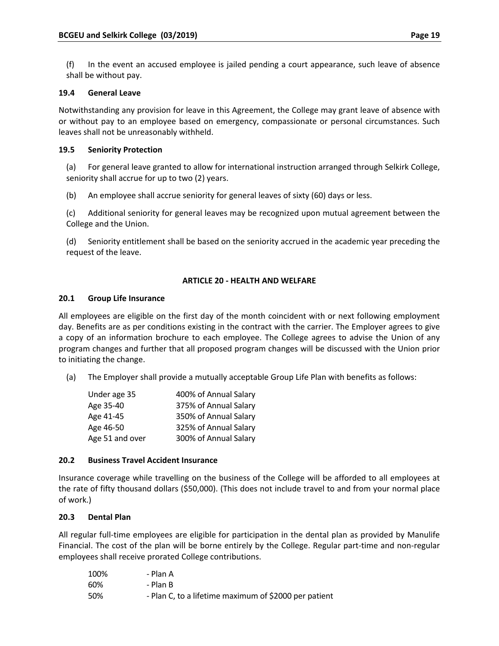(f) In the event an accused employee is jailed pending a court appearance, such leave of absence shall be without pay.

### **19.4 General Leave**

Notwithstanding any provision for leave in this Agreement, the College may grant leave of absence with or without pay to an employee based on emergency, compassionate or personal circumstances. Such leaves shall not be unreasonably withheld.

# **19.5 Seniority Protection**

(a) For general leave granted to allow for international instruction arranged through Selkirk College, seniority shall accrue for up to two (2) years.

(b) An employee shall accrue seniority for general leaves of sixty (60) days or less.

(c) Additional seniority for general leaves may be recognized upon mutual agreement between the College and the Union.

(d) Seniority entitlement shall be based on the seniority accrued in the academic year preceding the request of the leave.

# **ARTICLE 20 ‐ HEALTH AND WELFARE**

### **20.1 Group Life Insurance**

All employees are eligible on the first day of the month coincident with or next following employment day. Benefits are as per conditions existing in the contract with the carrier. The Employer agrees to give a copy of an information brochure to each employee. The College agrees to advise the Union of any program changes and further that all proposed program changes will be discussed with the Union prior to initiating the change.

(a) The Employer shall provide a mutually acceptable Group Life Plan with benefits as follows:

| Under age 35    | 400% of Annual Salary |
|-----------------|-----------------------|
| Age 35-40       | 375% of Annual Salary |
| Age 41-45       | 350% of Annual Salary |
| Age 46-50       | 325% of Annual Salary |
| Age 51 and over | 300% of Annual Salary |

### **20.2 Business Travel Accident Insurance**

Insurance coverage while travelling on the business of the College will be afforded to all employees at the rate of fifty thousand dollars (\$50,000). (This does not include travel to and from your normal place of work.)

# **20.3 Dental Plan**

All regular full-time employees are eligible for participation in the dental plan as provided by Manulife Financial. The cost of the plan will be borne entirely by the College. Regular part‐time and non‐regular employees shall receive prorated College contributions.

| 100% | - Plan A                                              |
|------|-------------------------------------------------------|
| 60%  | - Plan B                                              |
| 50%  | - Plan C, to a lifetime maximum of \$2000 per patient |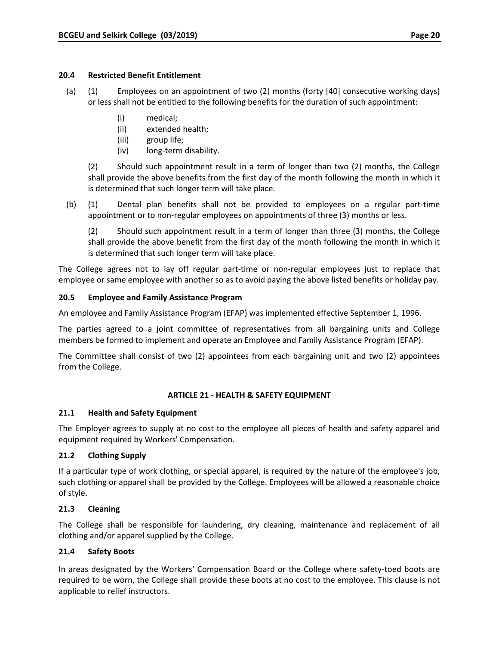### **20.4 Restricted Benefit Entitlement**

- (a) (1) Employees on an appointment of two (2) months (forty [40] consecutive working days) or less shall not be entitled to the following benefits for the duration of such appointment:
	- (i) medical;
	- (ii) extended health;
	- (iii) group life;
	- (iv) long‐term disability.

(2) Should such appointment result in a term of longer than two (2) months, the College shall provide the above benefits from the first day of the month following the month in which it is determined that such longer term will take place.

(b) (1) Dental plan benefits shall not be provided to employees on a regular part‐time appointment or to non-regular employees on appointments of three (3) months or less.

(2) Should such appointment result in a term of longer than three (3) months, the College shall provide the above benefit from the first day of the month following the month in which it is determined that such longer term will take place.

The College agrees not to lay off regular part-time or non-regular employees just to replace that employee or same employee with another so as to avoid paying the above listed benefits or holiday pay.

# **20.5 Employee and Family Assistance Program**

An employee and Family Assistance Program (EFAP) was implemented effective September 1, 1996.

The parties agreed to a joint committee of representatives from all bargaining units and College members be formed to implement and operate an Employee and Family Assistance Program (EFAP).

The Committee shall consist of two (2) appointees from each bargaining unit and two (2) appointees from the College.

### **ARTICLE 21 ‐ HEALTH & SAFETY EQUIPMENT**

### **21.1 Health and Safety Equipment**

The Employer agrees to supply at no cost to the employee all pieces of health and safety apparel and equipment required by Workers' Compensation.

# **21.2 Clothing Supply**

If a particular type of work clothing, or special apparel, is required by the nature of the employee's job, such clothing or apparel shall be provided by the College. Employees will be allowed a reasonable choice of style.

# **21.3 Cleaning**

The College shall be responsible for laundering, dry cleaning, maintenance and replacement of all clothing and/or apparel supplied by the College.

# **21.4 Safety Boots**

In areas designated by the Workers' Compensation Board or the College where safety‐toed boots are required to be worn, the College shall provide these boots at no cost to the employee. This clause is not applicable to relief instructors.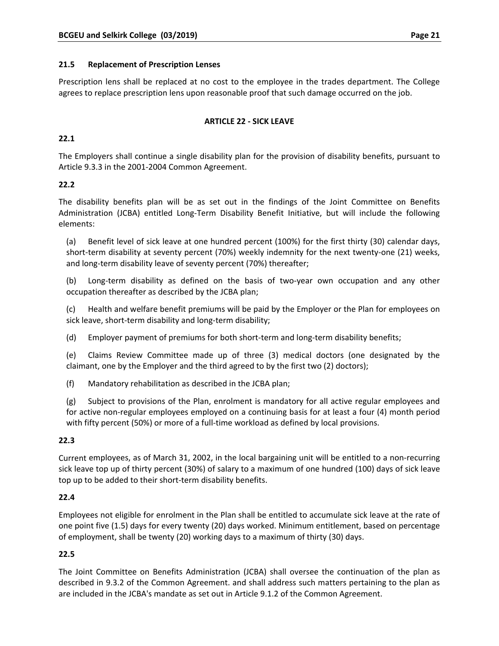### **21.5 Replacement of Prescription Lenses**

Prescription lens shall be replaced at no cost to the employee in the trades department. The College agrees to replace prescription lens upon reasonable proof that such damage occurred on the job.

### **ARTICLE 22 ‐ SICK LEAVE**

# **22.1**

The Employers shall continue a single disability plan for the provision of disability benefits, pursuant to Article 9.3.3 in the 2001‐2004 Common Agreement.

### **22.2**

The disability benefits plan will be as set out in the findings of the Joint Committee on Benefits Administration (JCBA) entitled Long‐Term Disability Benefit Initiative, but will include the following elements:

(a) Benefit level of sick leave at one hundred percent (100%) for the first thirty (30) calendar days, short-term disability at seventy percent (70%) weekly indemnity for the next twenty-one (21) weeks, and long-term disability leave of seventy percent (70%) thereafter;

(b) Long‐term disability as defined on the basis of two‐year own occupation and any other occupation thereafter as described by the JCBA plan;

(c) Health and welfare benefit premiums will be paid by the Employer or the Plan for employees on sick leave, short-term disability and long-term disability;

(d) Employer payment of premiums for both short‐term and long‐term disability benefits;

(e) Claims Review Committee made up of three (3) medical doctors (one designated by the claimant, one by the Employer and the third agreed to by the first two (2) doctors);

(f) Mandatory rehabilitation as described in the JCBA plan;

(g) Subject to provisions of the Plan, enrolment is mandatory for all active regular employees and for active non-regular employees employed on a continuing basis for at least a four (4) month period with fifty percent (50%) or more of a full-time workload as defined by local provisions.

### **22.3**

Current employees, as of March 31, 2002, in the local bargaining unit will be entitled to a non‐recurring sick leave top up of thirty percent (30%) of salary to a maximum of one hundred (100) days of sick leave top up to be added to their short‐term disability benefits.

# **22.4**

Employees not eligible for enrolment in the Plan shall be entitled to accumulate sick leave at the rate of one point five (1.5) days for every twenty (20) days worked. Minimum entitlement, based on percentage of employment, shall be twenty (20) working days to a maximum of thirty (30) days.

# **22.5**

The Joint Committee on Benefits Administration (JCBA) shall oversee the continuation of the plan as described in 9.3.2 of the Common Agreement. and shall address such matters pertaining to the plan as are included in the JCBA's mandate as set out in Article 9.1.2 of the Common Agreement.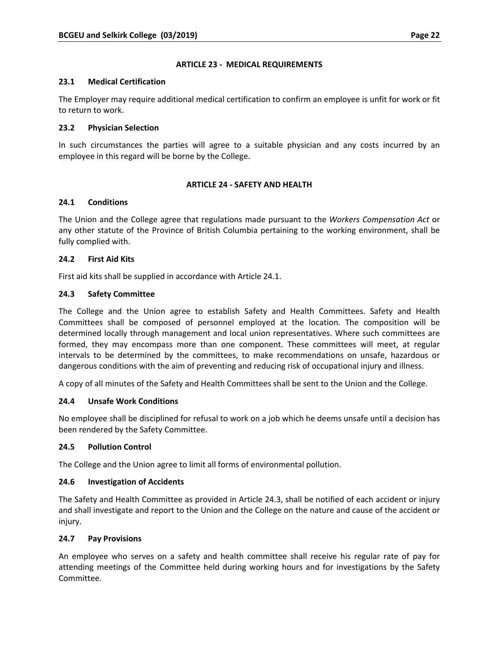### **ARTICLE 23 ‐ MEDICAL REQUIREMENTS**

### **23.1 Medical Certification**

The Employer may require additional medical certification to confirm an employee is unfit for work or fit to return to work.

### **23.2 Physician Selection**

In such circumstances the parties will agree to a suitable physician and any costs incurred by an employee in this regard will be borne by the College.

### **ARTICLE 24 ‐ SAFETY AND HEALTH**

### **24.1 Conditions**

The Union and the College agree that regulations made pursuant to the *Workers Compensation Act* or any other statute of the Province of British Columbia pertaining to the working environment, shall be fully complied with.

### **24.2 First Aid Kits**

First aid kits shall be supplied in accordance with Article 24.1.

### **24.3 Safety Committee**

The College and the Union agree to establish Safety and Health Committees. Safety and Health Committees shall be composed of personnel employed at the location. The composition will be determined locally through management and local union representatives. Where such committees are formed, they may encompass more than one component. These committees will meet, at regular intervals to be determined by the committees, to make recommendations on unsafe, hazardous or dangerous conditions with the aim of preventing and reducing risk of occupational injury and illness.

A copy of all minutes of the Safety and Health Committees shall be sent to the Union and the College.

### **24.4 Unsafe Work Conditions**

No employee shall be disciplined for refusal to work on a job which he deems unsafe until a decision has been rendered by the Safety Committee.

### **24.5 Pollution Control**

The College and the Union agree to limit all forms of environmental pollution.

### **24.6 Investigation of Accidents**

The Safety and Health Committee as provided in Article 24.3, shall be notified of each accident or injury and shall investigate and report to the Union and the College on the nature and cause of the accident or injury.

### **24.7 Pay Provisions**

An employee who serves on a safety and health committee shall receive his regular rate of pay for attending meetings of the Committee held during working hours and for investigations by the Safety Committee.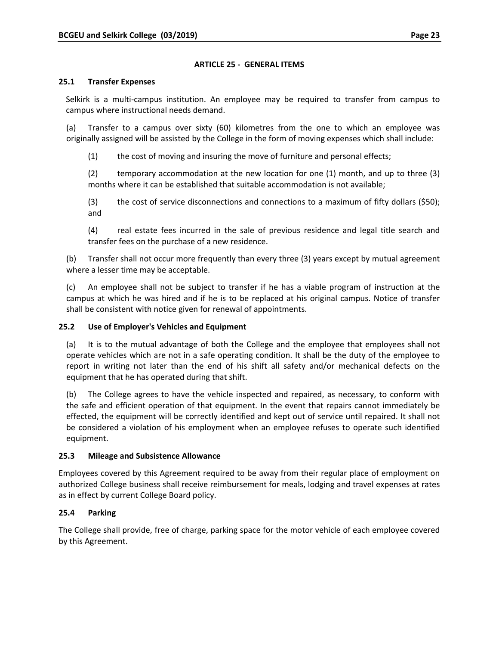### **ARTICLE 25 ‐ GENERAL ITEMS**

### **25.1 Transfer Expenses**

Selkirk is a multi-campus institution. An employee may be required to transfer from campus to campus where instructional needs demand.

(a) Transfer to a campus over sixty (60) kilometres from the one to which an employee was originally assigned will be assisted by the College in the form of moving expenses which shall include:

(1) the cost of moving and insuring the move of furniture and personal effects;

(2) temporary accommodation at the new location for one (1) month, and up to three (3) months where it can be established that suitable accommodation is not available;

(3) the cost of service disconnections and connections to a maximum of fifty dollars (\$50); and

(4) real estate fees incurred in the sale of previous residence and legal title search and transfer fees on the purchase of a new residence.

(b) Transfer shall not occur more frequently than every three (3) years except by mutual agreement where a lesser time may be acceptable.

(c) An employee shall not be subject to transfer if he has a viable program of instruction at the campus at which he was hired and if he is to be replaced at his original campus. Notice of transfer shall be consistent with notice given for renewal of appointments.

### **25.2 Use of Employer's Vehicles and Equipment**

(a) It is to the mutual advantage of both the College and the employee that employees shall not operate vehicles which are not in a safe operating condition. It shall be the duty of the employee to report in writing not later than the end of his shift all safety and/or mechanical defects on the equipment that he has operated during that shift.

(b) The College agrees to have the vehicle inspected and repaired, as necessary, to conform with the safe and efficient operation of that equipment. In the event that repairs cannot immediately be effected, the equipment will be correctly identified and kept out of service until repaired. It shall not be considered a violation of his employment when an employee refuses to operate such identified equipment.

### **25.3 Mileage and Subsistence Allowance**

Employees covered by this Agreement required to be away from their regular place of employment on authorized College business shall receive reimbursement for meals, lodging and travel expenses at rates as in effect by current College Board policy.

### **25.4 Parking**

The College shall provide, free of charge, parking space for the motor vehicle of each employee covered by this Agreement.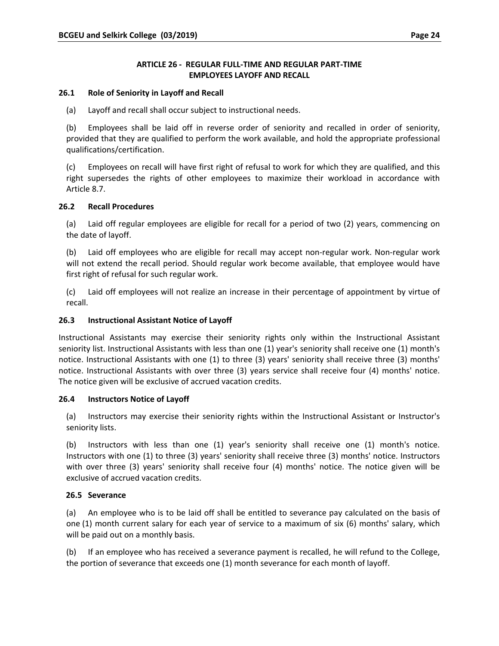### **ARTICLE 26 ‐ REGULAR FULL‐TIME AND REGULAR PART‐TIME EMPLOYEES LAYOFF AND RECALL**

### **26.1 Role of Seniority in Layoff and Recall**

(a) Layoff and recall shall occur subject to instructional needs.

(b) Employees shall be laid off in reverse order of seniority and recalled in order of seniority, provided that they are qualified to perform the work available, and hold the appropriate professional qualifications/certification.

(c) Employees on recall will have first right of refusal to work for which they are qualified, and this right supersedes the rights of other employees to maximize their workload in accordance with Article 8.7.

### **26.2 Recall Procedures**

(a) Laid off regular employees are eligible for recall for a period of two (2) years, commencing on the date of layoff.

(b) Laid off employees who are eligible for recall may accept non‐regular work. Non‐regular work will not extend the recall period. Should regular work become available, that employee would have first right of refusal for such regular work.

(c) Laid off employees will not realize an increase in their percentage of appointment by virtue of recall.

### **26.3 Instructional Assistant Notice of Layoff**

Instructional Assistants may exercise their seniority rights only within the Instructional Assistant seniority list. Instructional Assistants with less than one (1) year's seniority shall receive one (1) month's notice. Instructional Assistants with one (1) to three (3) years' seniority shall receive three (3) months' notice. Instructional Assistants with over three (3) years service shall receive four (4) months' notice. The notice given will be exclusive of accrued vacation credits.

### **26.4 Instructors Notice of Layoff**

(a) Instructors may exercise their seniority rights within the Instructional Assistant or Instructor's seniority lists.

(b) Instructors with less than one (1) year's seniority shall receive one (1) month's notice. Instructors with one (1) to three (3) years' seniority shall receive three (3) months' notice. Instructors with over three (3) years' seniority shall receive four (4) months' notice. The notice given will be exclusive of accrued vacation credits.

### **26.5 Severance**

(a) An employee who is to be laid off shall be entitled to severance pay calculated on the basis of one (1) month current salary for each year of service to a maximum of six (6) months' salary, which will be paid out on a monthly basis.

(b) If an employee who has received a severance payment is recalled, he will refund to the College, the portion of severance that exceeds one (1) month severance for each month of layoff.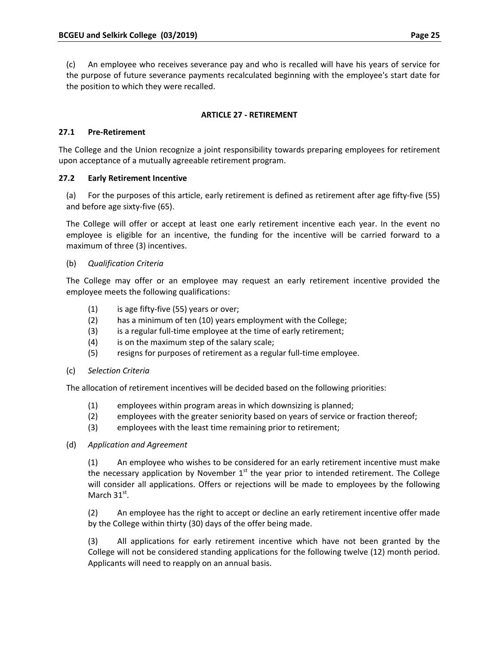(c) An employee who receives severance pay and who is recalled will have his years of service for the purpose of future severance payments recalculated beginning with the employee's start date for the position to which they were recalled.

# **ARTICLE 27 ‐ RETIREMENT**

### **27.1 Pre‐Retirement**

The College and the Union recognize a joint responsibility towards preparing employees for retirement upon acceptance of a mutually agreeable retirement program.

### **27.2 Early Retirement Incentive**

(a) For the purposes of this article, early retirement is defined as retirement after age fifty‐five (55) and before age sixty‐five (65).

The College will offer or accept at least one early retirement incentive each year. In the event no employee is eligible for an incentive, the funding for the incentive will be carried forward to a maximum of three (3) incentives.

# (b) *Qualification Criteria*

The College may offer or an employee may request an early retirement incentive provided the employee meets the following qualifications:

- $(1)$  is age fifty-five (55) years or over;
- (2) has a minimum of ten (10) years employment with the College;
- (3) is a regular full-time employee at the time of early retirement;
- (4) is on the maximum step of the salary scale;
- (5) resigns for purposes of retirement as a regular full‐time employee.
- (c) *Selection Criteria*

The allocation of retirement incentives will be decided based on the following priorities:

- (1) employees within program areas in which downsizing is planned;
- (2) employees with the greater seniority based on years of service or fraction thereof;
- (3) employees with the least time remaining prior to retirement;
- (d) *Application and Agreement*

(1) An employee who wishes to be considered for an early retirement incentive must make the necessary application by November  $1<sup>st</sup>$  the year prior to intended retirement. The College will consider all applications. Offers or rejections will be made to employees by the following March  $31<sup>st</sup>$ .

(2) An employee has the right to accept or decline an early retirement incentive offer made by the College within thirty (30) days of the offer being made.

(3) All applications for early retirement incentive which have not been granted by the College will not be considered standing applications for the following twelve (12) month period. Applicants will need to reapply on an annual basis.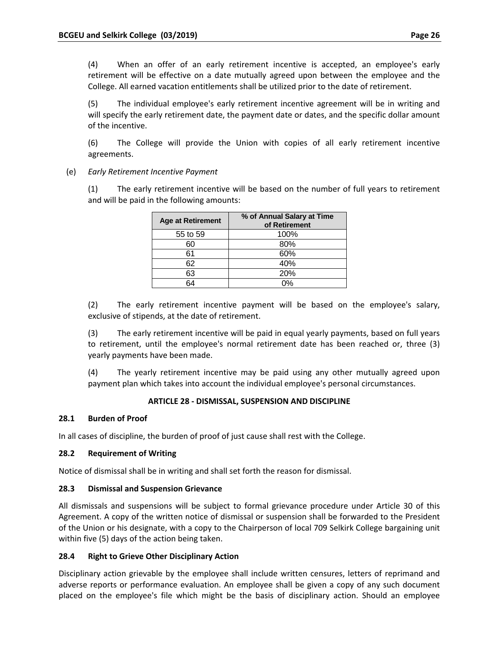(4) When an offer of an early retirement incentive is accepted, an employee's early retirement will be effective on a date mutually agreed upon between the employee and the College. All earned vacation entitlements shall be utilized prior to the date of retirement.

(5) The individual employee's early retirement incentive agreement will be in writing and will specify the early retirement date, the payment date or dates, and the specific dollar amount of the incentive.

(6) The College will provide the Union with copies of all early retirement incentive agreements.

(e) *Early Retirement Incentive Payment*

(1) The early retirement incentive will be based on the number of full years to retirement and will be paid in the following amounts:

| <b>Age at Retirement</b> | % of Annual Salary at Time<br>of Retirement |
|--------------------------|---------------------------------------------|
| 55 to 59                 | 100%                                        |
| 60                       | 80%                                         |
| 61                       | 60%                                         |
| 62                       | 40%                                         |
| 63                       | 20%                                         |
|                          |                                             |

(2) The early retirement incentive payment will be based on the employee's salary, exclusive of stipends, at the date of retirement.

(3) The early retirement incentive will be paid in equal yearly payments, based on full years to retirement, until the employee's normal retirement date has been reached or, three (3) yearly payments have been made.

(4) The yearly retirement incentive may be paid using any other mutually agreed upon payment plan which takes into account the individual employee's personal circumstances.

### **ARTICLE 28 ‐ DISMISSAL, SUSPENSION AND DISCIPLINE**

### **28.1 Burden of Proof**

In all cases of discipline, the burden of proof of just cause shall rest with the College.

### **28.2 Requirement of Writing**

Notice of dismissal shall be in writing and shall set forth the reason for dismissal.

### **28.3 Dismissal and Suspension Grievance**

All dismissals and suspensions will be subject to formal grievance procedure under Article 30 of this Agreement. A copy of the written notice of dismissal or suspension shall be forwarded to the President of the Union or his designate, with a copy to the Chairperson of local 709 Selkirk College bargaining unit within five (5) days of the action being taken.

### **28.4 Right to Grieve Other Disciplinary Action**

Disciplinary action grievable by the employee shall include written censures, letters of reprimand and adverse reports or performance evaluation. An employee shall be given a copy of any such document placed on the employee's file which might be the basis of disciplinary action. Should an employee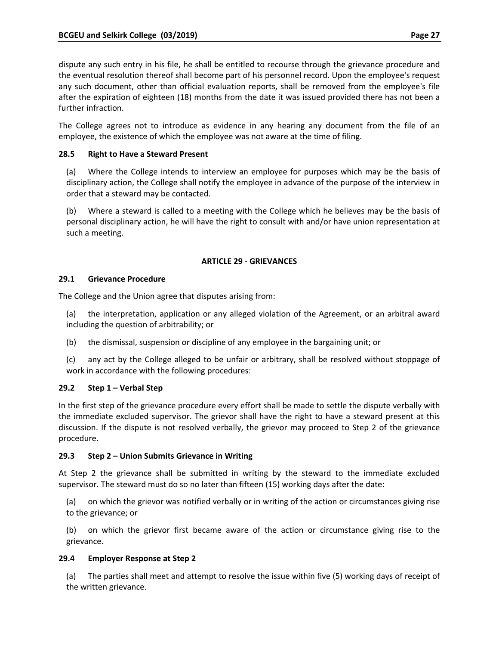dispute any such entry in his file, he shall be entitled to recourse through the grievance procedure and the eventual resolution thereof shall become part of his personnel record. Upon the employee's request any such document, other than official evaluation reports, shall be removed from the employee's file after the expiration of eighteen (18) months from the date it was issued provided there has not been a further infraction.

The College agrees not to introduce as evidence in any hearing any document from the file of an employee, the existence of which the employee was not aware at the time of filing.

# **28.5 Right to Have a Steward Present**

(a) Where the College intends to interview an employee for purposes which may be the basis of disciplinary action, the College shall notify the employee in advance of the purpose of the interview in order that a steward may be contacted.

(b) Where a steward is called to a meeting with the College which he believes may be the basis of personal disciplinary action, he will have the right to consult with and/or have union representation at such a meeting.

### **ARTICLE 29 ‐ GRIEVANCES**

### **29.1 Grievance Procedure**

The College and the Union agree that disputes arising from:

- (a) the interpretation, application or any alleged violation of the Agreement, or an arbitral award including the question of arbitrability; or
- (b) the dismissal, suspension or discipline of any employee in the bargaining unit; or
- (c) any act by the College alleged to be unfair or arbitrary, shall be resolved without stoppage of work in accordance with the following procedures:

# **29.2 Step 1 – Verbal Step**

In the first step of the grievance procedure every effort shall be made to settle the dispute verbally with the immediate excluded supervisor. The grievor shall have the right to have a steward present at this discussion. If the dispute is not resolved verbally, the grievor may proceed to Step 2 of the grievance procedure.

### **29.3 Step 2 – Union Submits Grievance in Writing**

At Step 2 the grievance shall be submitted in writing by the steward to the immediate excluded supervisor. The steward must do so no later than fifteen (15) working days after the date:

(a) on which the grievor was notified verbally or in writing of the action or circumstances giving rise to the grievance; or

(b) on which the grievor first became aware of the action or circumstance giving rise to the grievance.

### **29.4 Employer Response at Step 2**

(a) The parties shall meet and attempt to resolve the issue within five (5) working days of receipt of the written grievance.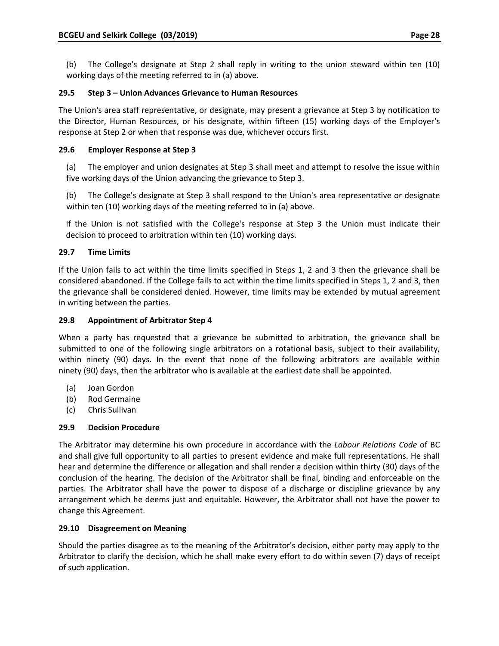(b) The College's designate at Step 2 shall reply in writing to the union steward within ten (10) working days of the meeting referred to in (a) above.

# **29.5 Step 3 – Union Advances Grievance to Human Resources**

The Union's area staff representative, or designate, may present a grievance at Step 3 by notification to the Director, Human Resources, or his designate, within fifteen (15) working days of the Employer's response at Step 2 or when that response was due, whichever occurs first.

# **29.6 Employer Response at Step 3**

(a) The employer and union designates at Step 3 shall meet and attempt to resolve the issue within five working days of the Union advancing the grievance to Step 3.

(b) The College's designate at Step 3 shall respond to the Union's area representative or designate within ten (10) working days of the meeting referred to in (a) above.

If the Union is not satisfied with the College's response at Step 3 the Union must indicate their decision to proceed to arbitration within ten (10) working days.

# **29.7 Time Limits**

If the Union fails to act within the time limits specified in Steps 1, 2 and 3 then the grievance shall be considered abandoned. If the College fails to act within the time limits specified in Steps 1, 2 and 3, then the grievance shall be considered denied. However, time limits may be extended by mutual agreement in writing between the parties.

# **29.8 Appointment of Arbitrator Step 4**

When a party has requested that a grievance be submitted to arbitration, the grievance shall be submitted to one of the following single arbitrators on a rotational basis, subject to their availability, within ninety (90) days. In the event that none of the following arbitrators are available within ninety (90) days, then the arbitrator who is available at the earliest date shall be appointed.

- (a) Joan Gordon
- (b) Rod Germaine
- (c) Chris Sullivan

### **29.9 Decision Procedure**

The Arbitrator may determine his own procedure in accordance with the *Labour Relations Code* of BC and shall give full opportunity to all parties to present evidence and make full representations. He shall hear and determine the difference or allegation and shall render a decision within thirty (30) days of the conclusion of the hearing. The decision of the Arbitrator shall be final, binding and enforceable on the parties. The Arbitrator shall have the power to dispose of a discharge or discipline grievance by any arrangement which he deems just and equitable. However, the Arbitrator shall not have the power to change this Agreement.

### **29.10 Disagreement on Meaning**

Should the parties disagree as to the meaning of the Arbitrator's decision, either party may apply to the Arbitrator to clarify the decision, which he shall make every effort to do within seven (7) days of receipt of such application.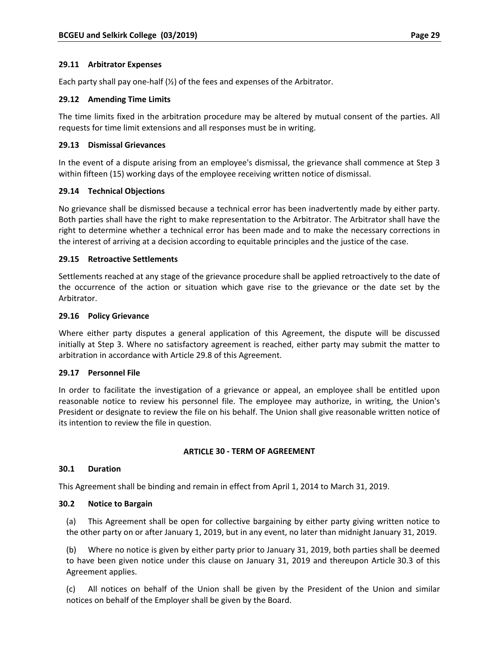### **29.11 Arbitrator Expenses**

Each party shall pay one-half  $(\frac{1}{2})$  of the fees and expenses of the Arbitrator.

### **29.12 Amending Time Limits**

The time limits fixed in the arbitration procedure may be altered by mutual consent of the parties. All requests for time limit extensions and all responses must be in writing.

### **29.13 Dismissal Grievances**

In the event of a dispute arising from an employee's dismissal, the grievance shall commence at Step 3 within fifteen (15) working days of the employee receiving written notice of dismissal.

### **29.14 Technical Objections**

No grievance shall be dismissed because a technical error has been inadvertently made by either party. Both parties shall have the right to make representation to the Arbitrator. The Arbitrator shall have the right to determine whether a technical error has been made and to make the necessary corrections in the interest of arriving at a decision according to equitable principles and the justice of the case.

### **29.15 Retroactive Settlements**

Settlements reached at any stage of the grievance procedure shall be applied retroactively to the date of the occurrence of the action or situation which gave rise to the grievance or the date set by the Arbitrator.

### **29.16 Policy Grievance**

Where either party disputes a general application of this Agreement, the dispute will be discussed initially at Step 3. Where no satisfactory agreement is reached, either party may submit the matter to arbitration in accordance with Article 29.8 of this Agreement.

### **29.17 Personnel File**

In order to facilitate the investigation of a grievance or appeal, an employee shall be entitled upon reasonable notice to review his personnel file. The employee may authorize, in writing, the Union's President or designate to review the file on his behalf. The Union shall give reasonable written notice of its intention to review the file in question.

### **ARTICLE 30 ‐ TERM OF AGREEMENT**

### **30.1 Duration**

This Agreement shall be binding and remain in effect from April 1, 2014 to March 31, 2019.

### **30.2 Notice to Bargain**

(a) This Agreement shall be open for collective bargaining by either party giving written notice to the other party on or after January 1, 2019, but in any event, no later than midnight January 31, 2019.

(b) Where no notice is given by either party prior to January 31, 2019, both parties shall be deemed to have been given notice under this clause on January 31, 2019 and thereupon Article 30.3 of this Agreement applies.

(c) All notices on behalf of the Union shall be given by the President of the Union and similar notices on behalf of the Employer shall be given by the Board.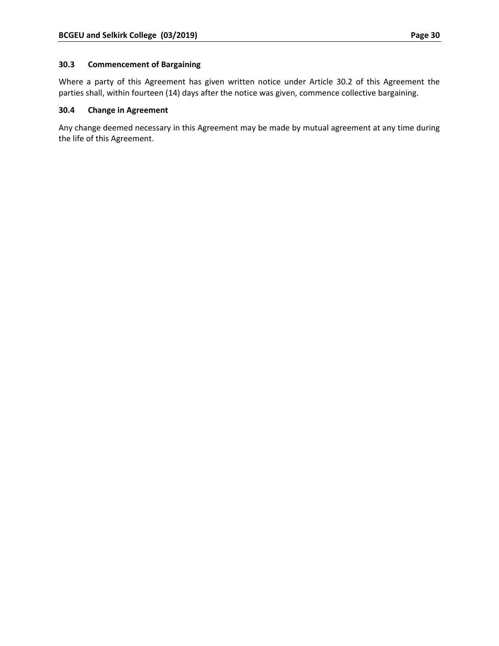# **30.3 Commencement of Bargaining**

Where a party of this Agreement has given written notice under Article 30.2 of this Agreement the parties shall, within fourteen (14) days after the notice was given, commence collective bargaining.

### **30.4 Change in Agreement**

Any change deemed necessary in this Agreement may be made by mutual agreement at any time during the life of this Agreement.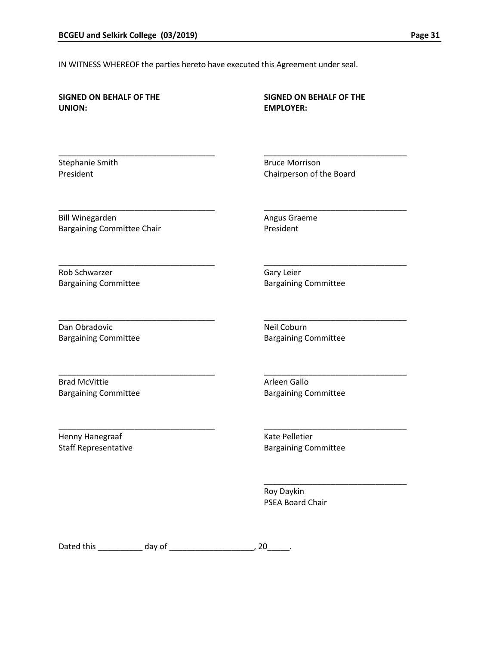IN WITNESS WHEREOF the parties hereto have executed this Agreement under seal.

| <b>SIGNED ON BEHALF OF THE</b>    | <b>SIGNED ON BEHALF OF THE</b>        |
|-----------------------------------|---------------------------------------|
| <b>UNION:</b>                     | <b>EMPLOYER:</b>                      |
| Stephanie Smith                   | <b>Bruce Morrison</b>                 |
| President                         | Chairperson of the Board              |
| <b>Bill Winegarden</b>            | Angus Graeme                          |
| <b>Bargaining Committee Chair</b> | President                             |
| Rob Schwarzer                     | Gary Leier                            |
| <b>Bargaining Committee</b>       | <b>Bargaining Committee</b>           |
| Dan Obradovic                     | Neil Coburn                           |
| <b>Bargaining Committee</b>       | <b>Bargaining Committee</b>           |
| <b>Brad McVittie</b>              | Arleen Gallo                          |
| <b>Bargaining Committee</b>       | <b>Bargaining Committee</b>           |
| Henny Hanegraaf                   | Kate Pelletier                        |
| <b>Staff Representative</b>       | <b>Bargaining Committee</b>           |
|                                   | Roy Daykin<br><b>PSEA Board Chair</b> |

Dated this \_\_\_\_\_\_\_\_\_\_ day of \_\_\_\_\_\_\_\_\_\_\_\_\_\_\_\_\_\_\_, 20\_\_\_\_\_.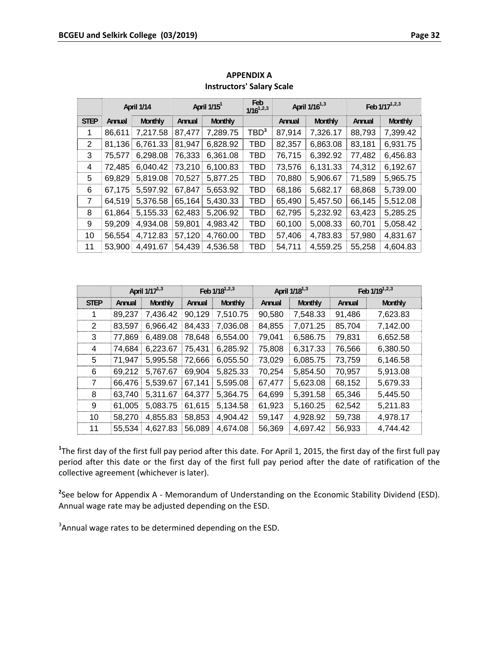|                |        | April 1/14 |        | April 1/15 <sup>1</sup> | Feb<br>$1/16^{1,2,3}$ |        | April 1/16 <sup>1,3</sup> |        | Feb 1/17 <sup>1,2,3</sup> |
|----------------|--------|------------|--------|-------------------------|-----------------------|--------|---------------------------|--------|---------------------------|
| <b>STEP</b>    | Annual | Monthly    | Annual | Monthly                 |                       | Annual | Monthly                   | Annual | Monthly                   |
| 1              | 86,611 | 7,217.58   | 87,477 | 7,289.75                | TBD <sup>3</sup>      | 87,914 | 7,326.17                  | 88,793 | 7,399.42                  |
| 2              | 81,136 | 6,761.33   | 81,947 | 6,828.92                | TBD                   | 82,357 | 6,863.08                  | 83,181 | 6,931.75                  |
| 3              | 75,577 | 6,298.08   | 76,333 | 6,361.08                | TBD                   | 76,715 | 6,392.92                  | 77,482 | 6,456.83                  |
| 4              | 72,485 | 6,040.42   | 73,210 | 6,100.83                | TBD                   | 73,576 | 6,131.33                  | 74,312 | 6,192.67                  |
| 5              | 69,829 | 5,819.08   | 70,527 | 5,877.25                | TBD                   | 70,880 | 5,906.67                  | 71,589 | 5,965.75                  |
| 6              | 67,175 | 5,597.92   | 67,847 | 5,653.92                | TBD                   | 68,186 | 5,682.17                  | 68,868 | 5,739.00                  |
| $\overline{7}$ | 64,519 | 5,376.58   | 65,164 | 5,430.33                | TBD                   | 65,490 | 5,457.50                  | 66,145 | 5,512.08                  |
| 8              | 61,864 | 5,155.33   | 62,483 | 5,206.92                | TBD                   | 62,795 | 5,232.92                  | 63,423 | 5,285.25                  |
| 9              | 59,209 | 4,934.08   | 59,801 | 4,983.42                | TBD                   | 60,100 | 5,008.33                  | 60,701 | 5,058.42                  |
| 10             | 56,554 | 4,712.83   | 57,120 | 4,760.00                | TBD                   | 57,406 | 4,783.83                  | 57,980 | 4,831.67                  |
| 11             | 53,900 | 4,491.67   | 54,439 | 4,536.58                | TBD                   | 54,711 | 4,559.25                  | 55,258 | 4,604.83                  |

**APPENDIX A Instructors' Salary Scale**

|             |        | April 1/17 <sup>1,3</sup> |        | Feb 1/18 <sup>1,2,3</sup> |        | April 1/18 <sup>1,3</sup> |        | Feb 1/19 <sup>1,2,3</sup> |
|-------------|--------|---------------------------|--------|---------------------------|--------|---------------------------|--------|---------------------------|
| <b>STEP</b> | Annual | Monthly                   | Annual | <b>Monthly</b>            | Annual | Monthly                   | Annual | <b>Monthly</b>            |
| 1           | 89,237 | 7,436.42                  | 90,129 | 7,510.75                  | 90,580 | 7,548.33                  | 91,486 | 7,623.83                  |
| 2           | 83,597 | 6,966.42                  | 84,433 | 7,036.08                  | 84,855 | 7,071.25                  | 85,704 | 7,142.00                  |
| 3           | 77,869 | 6,489.08                  | 78,648 | 6,554.00                  | 79,041 | 6,586.75                  | 79,831 | 6,652.58                  |
| 4           | 74,684 | 6,223.67                  | 75,431 | 6,285.92                  | 75,808 | 6,317.33                  | 76,566 | 6,380.50                  |
| 5           | 71,947 | 5,995.58                  | 72,666 | 6,055.50                  | 73,029 | 6,085.75                  | 73,759 | 6,146.58                  |
| 6           | 69,212 | 5,767.67                  | 69,904 | 5,825.33                  | 70,254 | 5,854.50                  | 70,957 | 5,913.08                  |
| 7           | 66,476 | 5,539.67                  | 67,141 | 5,595.08                  | 67,477 | 5,623.08                  | 68,152 | 5,679.33                  |
| 8           | 63,740 | 5,311.67                  | 64,377 | 5,364.75                  | 64,699 | 5,391.58                  | 65,346 | 5,445.50                  |
| 9           | 61,005 | 5,083.75                  | 61,615 | 5.134.58                  | 61,923 | 5,160.25                  | 62,542 | 5,211.83                  |
| 10          | 58,270 | 4,855.83                  | 58,853 | 4,904.42                  | 59,147 | 4,928.92                  | 59,738 | 4,978.17                  |
| 11          | 55.534 | 4,627.83                  | 56,089 | 4,674.08                  | 56,369 | 4,697.42                  | 56,933 | 4,744.42                  |

**1** The first day of the first full pay period after this date. For April 1, 2015, the first day of the first full pay period after this date or the first day of the first full pay period after the date of ratification of the collective agreement (whichever is later).

**2** See below for Appendix A ‐ Memorandum of Understanding on the Economic Stability Dividend (ESD). Annual wage rate may be adjusted depending on the ESD.

 $3$ Annual wage rates to be determined depending on the ESD.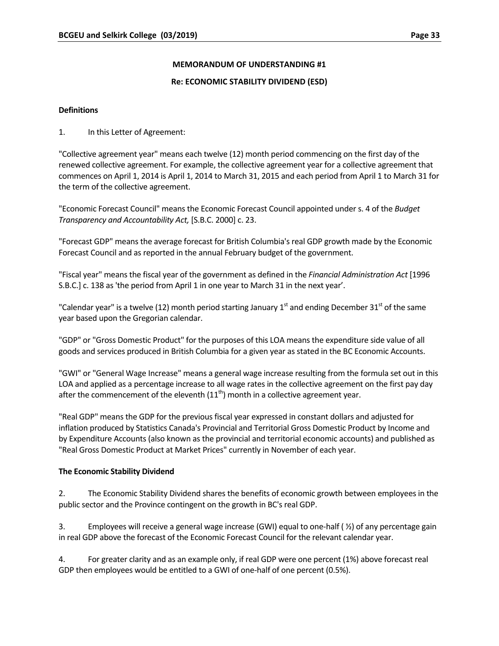### **MEMORANDUM OF UNDERSTANDING #1**

### **Re: ECONOMIC STABILITY DIVIDEND (ESD)**

### **Definitions**

1. In this Letter of Agreement:

"Collective agreement year" means each twelve (12) month period commencing on the first day of the renewed collective agreement. For example, the collective agreement year for a collective agreement that commences on April 1, 2014 is April 1, 2014 to March 31, 2015 and each period from April 1 to March 31 for the term of the collective agreement.

"Economic Forecast Council" means the Economic Forecast Council appointed under s. 4 of the *Budget Transparency and Accountability Act,* [S.B.C. 2000] c. 23.

"Forecast GDP" means the average forecast for British Columbia's real GDP growth made by the Economic Forecast Council and as reported in the annual February budget of the government.

"Fiscal year" means the fiscal year of the government as defined in the *Financial Administration Act* [1996 S.B.C.] c. 138 as 'the period from April 1 in one year to March 31 in the next year'.

"Calendar year" is a twelve (12) month period starting January  $1<sup>st</sup>$  and ending December 31 $<sup>st</sup>$  of the same</sup> year based upon the Gregorian calendar.

"GDP" or "Gross Domestic Product" for the purposes of this LOA means the expenditure side value of all goods and services produced in British Columbia for a given year as stated in the BC Economic Accounts.

"GWI" or "General Wage Increase" means a general wage increase resulting from the formula set out in this LOA and applied as a percentage increase to all wage rates in the collective agreement on the first pay day after the commencement of the eleventh  $(11<sup>th</sup>)$  month in a collective agreement year.

"Real GDP" means the GDP for the previous fiscal year expressed in constant dollars and adjusted for inflation produced by Statistics Canada's Provincial and Territorial Gross Domestic Product by Income and by Expenditure Accounts (also known as the provincial and territorial economic accounts) and published as "Real Gross Domestic Product at Market Prices" currently in November of each year.

### **The Economic Stability Dividend**

2. The Economic Stability Dividend shares the benefits of economic growth between employees in the public sector and the Province contingent on the growth in BC's real GDP.

3. Employees will receive a general wage increase (GWI) equal to one‐half ( ½) of any percentage gain in real GDP above the forecast of the Economic Forecast Council for the relevant calendar year.

4. For greater clarity and as an example only, if real GDP were one percent (1%) above forecast real GDP then employees would be entitled to a GWI of one-half of one percent (0.5%).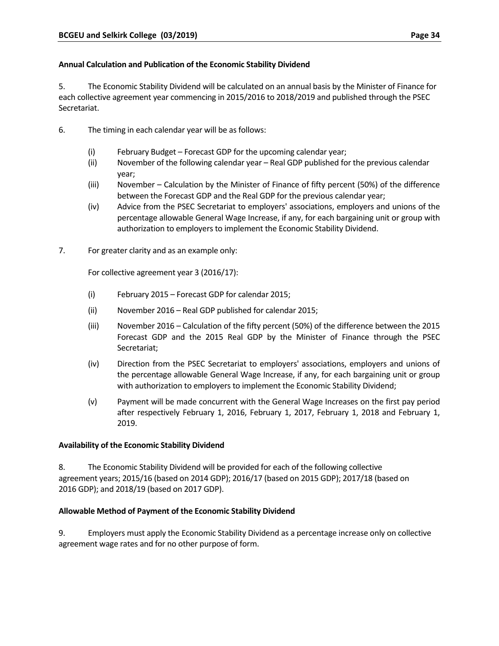# **Annual Calculation and Publication of the Economic Stability Dividend**

5. The Economic Stability Dividend will be calculated on an annual basis by the Minister of Finance for each collective agreement year commencing in 2015/2016 to 2018/2019 and published through the PSEC Secretariat.

- 6. The timing in each calendar year will be as follows:
	- (i) February Budget Forecast GDP for the upcoming calendar year;
	- (ii) November of the following calendar year Real GDP published for the previous calendar year;
	- (iii) November Calculation by the Minister of Finance of fifty percent (50%) of the difference between the Forecast GDP and the Real GDP for the previous calendar year;
	- (iv) Advice from the PSEC Secretariat to employers' associations, employers and unions of the percentage allowable General Wage Increase, if any, for each bargaining unit or group with authorization to employers to implement the Economic Stability Dividend.
- 7. For greater clarity and as an example only:

For collective agreement year 3 (2016/17):

- (i) February 2015 Forecast GDP for calendar 2015;
- (ii) November 2016 Real GDP published for calendar 2015;
- (iii) November 2016 Calculation of the fifty percent (50%) of the difference between the 2015 Forecast GDP and the 2015 Real GDP by the Minister of Finance through the PSEC Secretariat;
- (iv) Direction from the PSEC Secretariat to employers' associations, employers and unions of the percentage allowable General Wage Increase, if any, for each bargaining unit or group with authorization to employers to implement the Economic Stability Dividend;
- (v) Payment will be made concurrent with the General Wage Increases on the first pay period after respectively February 1, 2016, February 1, 2017, February 1, 2018 and February 1, 2019.

### **Availability of the Economic Stability Dividend**

8. The Economic Stability Dividend will be provided for each of the following collective agreement years; 2015/16 (based on 2014 GDP); 2016/17 (based on 2015 GDP); 2017/18 (based on 2016 GDP); and 2018/19 (based on 2017 GDP).

# **Allowable Method of Payment of the Economic Stability Dividend**

9. Employers must apply the Economic Stability Dividend as a percentage increase only on collective agreement wage rates and for no other purpose of form.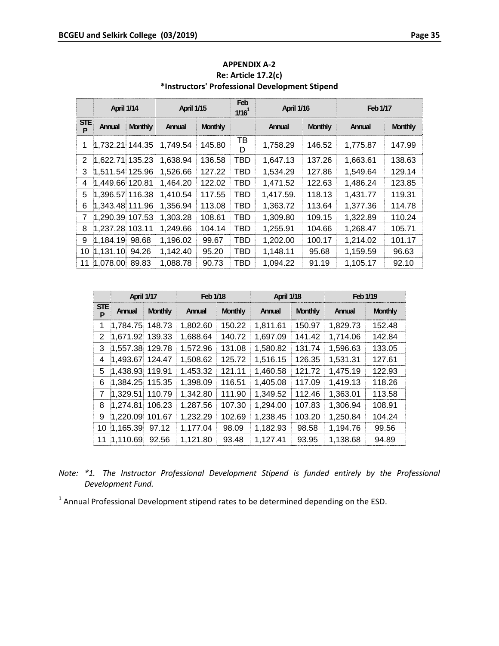|                 | April 1/14        |                | April 1/15 |                | Feb.<br>$1/16^1$ | April 1/16 |                | Feb 1/17 |                |
|-----------------|-------------------|----------------|------------|----------------|------------------|------------|----------------|----------|----------------|
| <b>STE</b><br>P | Annual            | <b>Monthly</b> | Annual     | <b>Monthly</b> |                  | Annual     | <b>Monthly</b> | Annual   | <b>Monthly</b> |
|                 | $1,732.21$ 144.35 |                | 1,749.54   | 145.80         | тв<br>D          | 1,758.29   | 146.52         | 1,775.87 | 147.99         |
| 2               | 1,622.71 135.23   |                | 1,638.94   | 136.58         | TBD              | 1,647.13   | 137.26         | 1,663.61 | 138.63         |
| 3               | $1.511.54$ 125.96 |                | 1,526.66   | 127.22         | TBD              | 1,534.29   | 127.86         | 1,549.64 | 129.14         |
| 4               | 1,449.66 120.81   |                | 1,464.20   | 122.02         | TBD              | 1,471.52   | 122.63         | 1,486.24 | 123.85         |
| 5               | 1,396.57 116.38   |                | 1.410.54   | 117.55         | TBD              | 1,417.59.  | 118.13         | 1,431.77 | 119.31         |
| 6               | 1,343.48 111.96   |                | 1,356.94   | 113.08         | TBD              | 1,363.72   | 113.64         | 1,377.36 | 114.78         |
| 7               | 1,290.39 107.53   |                | 1.303.28   | 108.61         | TBD              | 1,309.80   | 109.15         | 1,322.89 | 110.24         |
| 8               | 1,237.28 103.11   |                | 1,249.66   | 104.14         | TBD              | 1,255.91   | 104.66         | 1,268.47 | 105.71         |
| 9               | 1,184.19 98.68    |                | 1,196.02   | 99.67          | TBD              | 1,202.00   | 100.17         | 1,214.02 | 101.17         |
|                 | 10 1,131.10 94.26 |                | 1,142.40   | 95.20          | <b>TBD</b>       | 1,148.11   | 95.68          | 1,159.59 | 96.63          |
|                 | 11 1,078.00       | 89.83          | 1,088.78   | 90.73          | TBD              | 1,094.22   | 91.19          | 1,105.17 | 92.10          |

**APPENDIX A‐2 Re: Article 17.2(c) \*Instructors' Professional Development Stipend**

|                 | April 1/17      |         | Feb 1/18 |                | April 1/18 |                | Feb 1/19 |                |
|-----------------|-----------------|---------|----------|----------------|------------|----------------|----------|----------------|
| <b>STE</b><br>P | Annual          | Monthly | Annual   | <b>Monthly</b> | Annual     | <b>Monthly</b> | Annual   | <b>Monthly</b> |
| 1               | 1,784.75 148.73 |         | 1,802.60 | 150.22         | 1,811.61   | 150.97         | 1,829.73 | 152.48         |
| 2               | 1,671.92 139.33 |         | 1,688.64 | 140.72         | 1,697.09   | 141.42         | 1,714.06 | 142.84         |
| 3               | 1,557.38 129.78 |         | 1,572.96 | 131.08         | 1,580.82   | 131.74         | 1,596.63 | 133.05         |
| 4               | 1,493.67 124.47 |         | 1,508.62 | 125.72         | 1,516.15   | 126.35         | 1,531.31 | 127.61         |
| 5.              | 1,438.93 119.91 |         | 1,453.32 | 121.11         | 1,460.58   | 121.72         | 1,475.19 | 122.93         |
| 6               | 1,384.25 115.35 |         | 1,398.09 | 116.51         | 1,405.08   | 117.09         | 1,419.13 | 118.26         |
| 7               | 1,329.51        | 110.79  | 1,342.80 | 111.90         | 1,349.52   | 112.46         | 1,363.01 | 113.58         |
| 8               | 1,274.81        | 106.23  | 1,287.56 | 107.30         | 1,294.00   | 107.83         | 1,306.94 | 108.91         |
| 9               | 1,220.09        | 101.67  | 1,232.29 | 102.69         | 1,238.45   | 103.20         | 1,250.84 | 104.24         |
| 10              | 1,165.39        | 97.12   | 1,177.04 | 98.09          | 1,182.93   | 98.58          | 1,194.76 | 99.56          |
| 11              | 1,110.69        | 92.56   | 1,121.80 | 93.48          | 1,127.41   | 93.95          | 1,138.68 | 94.89          |

|  |                   | Note: *1. The Instructor Professional Development Stipend is funded entirely by the Professional |  |  |  |  |
|--|-------------------|--------------------------------------------------------------------------------------------------|--|--|--|--|
|  | Development Fund. |                                                                                                  |  |  |  |  |

<sup>1</sup> Annual Professional Development stipend rates to be determined depending on the ESD.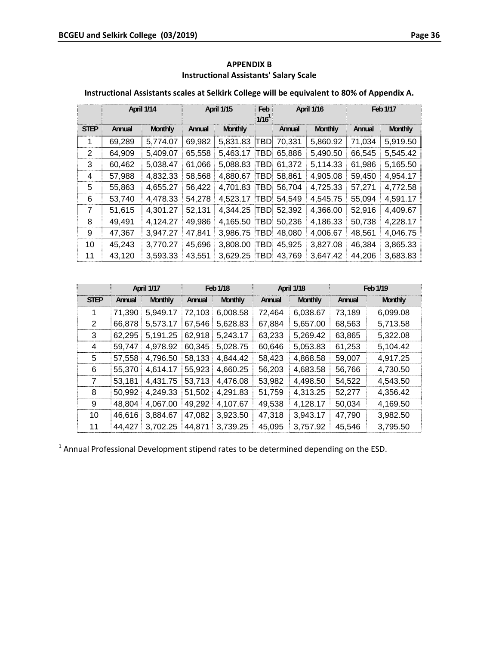|             |        | April 1/14 |        | April 1/15 | Feb<br>$1/16^1$ |        | April 1/16 |        | Feb 1/17 |
|-------------|--------|------------|--------|------------|-----------------|--------|------------|--------|----------|
| <b>STEP</b> | Annual | Monthly    | Annual | Monthly    |                 | Annual | Monthly    | Annual | Monthly  |
| 1           | 69,289 | 5,774.07   | 69,982 | 5,831.83   | TBDI            | 70,331 | 5,860.92   | 71,034 | 5,919.50 |
| 2           | 64,909 | 5,409.07   | 65,558 | 5,463.17   | <b>TBD</b>      | 65,886 | 5,490.50   | 66,545 | 5,545.42 |
| 3           | 60,462 | 5,038.47   | 61,066 | 5,088.83   | <b>TBD</b>      | 61.372 | 5,114.33   | 61,986 | 5,165.50 |
| 4           | 57,988 | 4,832.33   | 58,568 | 4,880.67   | <b>TBD</b>      | 58.861 | 4,905.08   | 59,450 | 4,954.17 |
| 5           | 55,863 | 4,655.27   | 56,422 | 4,701.83   | <b>TBD</b>      | 56,704 | 4,725.33   | 57,271 | 4,772.58 |
| 6           | 53,740 | 4,478.33   | 54,278 | 4,523.17   | <b>TBD</b>      | 54,549 | 4,545.75   | 55,094 | 4,591.17 |
| 7           | 51,615 | 4,301.27   | 52,131 | 4,344.25   | TBDI            | 52,392 | 4,366.00   | 52,916 | 4,409.67 |
| 8           | 49,491 | 4,124.27   | 49,986 | 4.165.50   | <b>TBD</b>      | 50,236 | 4,186.33   | 50,738 | 4,228.17 |
| 9           | 47,367 | 3,947.27   | 47,841 | 3,986.75   | <b>TBD</b>      | 48,080 | 4,006.67   | 48,561 | 4,046.75 |
| 10          | 45,243 | 3,770.27   | 45,696 | 3,808.00   | <b>TBD</b>      | 45,925 | 3,827.08   | 46,384 | 3,865.33 |
| 11          | 43,120 | 3,593.33   | 43,551 | 3.629.25   | <b>TBD</b>      | 43.769 | 3,647.42   | 44,206 | 3,683.83 |

# **APPENDIX B Instructional Assistants' Salary Scale**

# **Instructional Assistants scales at Selkirk College will be equivalent to 80% of Appendix A.**

|             |        | April 1/17     |        | Feb 1/18       |        | <b>April 1/18</b> |        | Feb 1/19       |
|-------------|--------|----------------|--------|----------------|--------|-------------------|--------|----------------|
| <b>STEP</b> | Annual | <b>Monthly</b> | Annual | <b>Monthly</b> | Annual | <b>Monthly</b>    | Annual | <b>Monthly</b> |
| 1           | 71,390 | 5,949.17       | 72,103 | 6,008.58       | 72,464 | 6,038.67          | 73,189 | 6,099.08       |
| 2           | 66,878 | 5,573.17       | 67,546 | 5,628.83       | 67,884 | 5,657.00          | 68,563 | 5,713.58       |
| 3           | 62,295 | 5,191.25       | 62,918 | 5,243.17       | 63,233 | 5,269.42          | 63,865 | 5,322.08       |
| 4           | 59,747 | 4,978.92       | 60,345 | 5.028.75       | 60,646 | 5,053.83          | 61,253 | 5,104.42       |
| 5           | 57,558 | 4,796.50       | 58,133 | 4.844.42       | 58,423 | 4,868.58          | 59,007 | 4,917.25       |
| 6           | 55,370 | 4,614.17       | 55,923 | 4,660.25       | 56,203 | 4,683.58          | 56,766 | 4,730.50       |
| 7           | 53,181 | 4,431.75       | 53,713 | 4,476.08       | 53,982 | 4,498.50          | 54,522 | 4,543.50       |
| 8           | 50,992 | 4,249.33       | 51,502 | 4.291.83       | 51,759 | 4,313.25          | 52,277 | 4,356.42       |
| 9           | 48,804 | 4,067.00       | 49,292 | 4.107.67       | 49,538 | 4,128.17          | 50,034 | 4,169.50       |
| 10          | 46,616 | 3,884.67       | 47,082 | 3,923.50       | 47,318 | 3,943.17          | 47,790 | 3,982.50       |
| 11          | 44.427 | 3,702.25       | 44.871 | 3,739.25       | 45,095 | 3,757.92          | 45,546 | 3,795.50       |

 $1$  Annual Professional Development stipend rates to be determined depending on the ESD.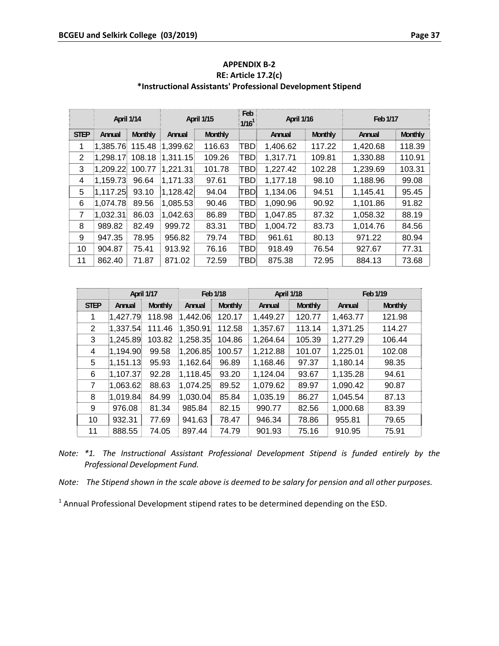|                | April 1/14 |                |          | <b>April 1/15</b> | Feb<br>$1/16^1$ | <b>April 1/16</b> |                | Feb 1/17 |                |
|----------------|------------|----------------|----------|-------------------|-----------------|-------------------|----------------|----------|----------------|
| <b>STEP</b>    | Annual     | <b>Monthly</b> | Annual   | Monthly           |                 | Annual            | <b>Monthly</b> | Annual   | <b>Monthly</b> |
| 1              | 1.385.76   | 115.48         | 1,399.62 | 116.63            | TBD             | 1,406.62          | 117.22         | 1,420.68 | 118.39         |
| 2              | 1.298.17   | 108.18         | 1,311.15 | 109.26            | TBD             | 1,317.71          | 109.81         | 1,330.88 | 110.91         |
| 3              | 1,209.22   | 100.77         | 1,221.31 | 101.78            | TBD.            | 1,227.42          | 102.28         | 1,239.69 | 103.31         |
| 4              | 1,159.73   | 96.64          | 1,171.33 | 97.61             | TBD             | 1,177.18          | 98.10          | 1,188.96 | 99.08          |
| 5              | 1,117.25   | 93.10          | 1,128.42 | 94.04             | TBDI            | 1,134.06          | 94.51          | 1,145.41 | 95.45          |
| 6              | 1.074.78   | 89.56          | 1,085.53 | 90.46             | TBD             | 1,090.96          | 90.92          | 1,101.86 | 91.82          |
| $\overline{7}$ | 1,032.31   | 86.03          | 1,042.63 | 86.89             | TBD.            | 1,047.85          | 87.32          | 1,058.32 | 88.19          |
| 8              | 989.82     | 82.49          | 999.72   | 83.31             | TBD.            | 1,004.72          | 83.73          | 1,014.76 | 84.56          |
| 9              | 947.35     | 78.95          | 956.82   | 79.74             | TBD             | 961.61            | 80.13          | 971.22   | 80.94          |
| 10             | 904.87     | 75.41          | 913.92   | 76.16             | TBD.            | 918.49            | 76.54          | 927.67   | 77.31          |
| 11             | 862.40     | 71.87          | 871.02   | 72.59             | TBDI            | 875.38            | 72.95          | 884.13   | 73.68          |

**APPENDIX B‐2 RE: Article 17.2(c) \*Instructional Assistants' Professional Development Stipend**

|             | April 1/17 |         |          | Feb 1/18       | April 1/18 |                |          | Feb 1/19 |
|-------------|------------|---------|----------|----------------|------------|----------------|----------|----------|
| <b>STEP</b> | Annual     | Monthly | Annual   | <b>Monthly</b> | Annual     | <b>Monthly</b> | Annual   | Monthly  |
| 1           | 1,427.79   | 118.98  | 1,442.06 | 120.17         | 1,449.27   | 120.77         | 1,463.77 | 121.98   |
| 2           | 1,337.54   | 111.46  | 1,350.91 | 112.58         | 1,357.67   | 113.14         | 1,371.25 | 114.27   |
| 3           | 1,245.89   | 103.82  | 1,258.35 | 104.86         | 1,264.64   | 105.39         | 1,277.29 | 106.44   |
| 4           | 1,194.90   | 99.58   | 1,206.85 | 100.57         | 1,212.88   | 101.07         | 1,225.01 | 102.08   |
| 5           | 1.151.13   | 95.93   | 1,162.64 | 96.89          | 1,168.46   | 97.37          | 1,180.14 | 98.35    |
| 6           | 1,107.37   | 92.28   | 1,118.45 | 93.20          | 1,124.04   | 93.67          | 1,135.28 | 94.61    |
| 7           | 1,063.62   | 88.63   | 1,074.25 | 89.52          | 1,079.62   | 89.97          | 1,090.42 | 90.87    |
| 8           | 1,019.84   | 84.99   | 1,030.04 | 85.84          | 1,035.19   | 86.27          | 1,045.54 | 87.13    |
| 9           | 976.08     | 81.34   | 985.84   | 82.15          | 990.77     | 82.56          | 1,000.68 | 83.39    |
| 10          | 932.31     | 77.69   | 941.63   | 78.47          | 946.34     | 78.86          | 955.81   | 79.65    |
| 11          | 888.55     | 74.05   | 897.44   | 74.79          | 901.93     | 75.16          | 910.95   | 75.91    |

|  |                                |  | Note: *1. The Instructional Assistant Professional Development Stipend is funded entirely by the |  |  |  |
|--|--------------------------------|--|--------------------------------------------------------------------------------------------------|--|--|--|
|  | Professional Development Fund. |  |                                                                                                  |  |  |  |

Note: The Stipend shown in the scale above is deemed to be salary for pension and all other purposes.

 $1$  Annual Professional Development stipend rates to be determined depending on the ESD.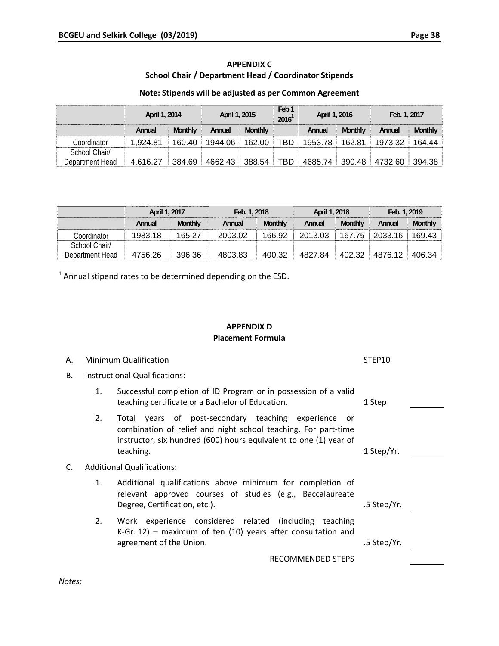# **APPENDIX C School Chair / Department Head / Coordinator Stipends**

### **Note: Stipends will be adjusted as per Common Agreement**

|                                  | April 1, 2014 |                | April 1, 2015 |                | Feb <sub>1</sub><br>2016 <sup>1</sup> |         | April 1, 2016  |         | Feb. 1, 2017 |  |  |
|----------------------------------|---------------|----------------|---------------|----------------|---------------------------------------|---------|----------------|---------|--------------|--|--|
|                                  | Annual        | <b>Monthly</b> | Annual        | <b>Monthly</b> |                                       | Annual  | <b>Monthly</b> | Annual  | Monthly      |  |  |
| Coordinator                      | 1.924.81      | 160.40         | 1944.06       | 162.00         | TBD                                   | 1953.78 | 162.81         | 1973.32 | 164.44       |  |  |
| School Chair/<br>Department Head | 4.616.27      | 384.69         | 4662.43       | 388.54         | TBD                                   | 4685.74 | 390.48         | 4732.60 | 394.38       |  |  |

|                 |         | April 1, 2017  |         | Feb. 1, 2018   | April 1, 2018 |                | Feb. 1, 2019 |                |  |
|-----------------|---------|----------------|---------|----------------|---------------|----------------|--------------|----------------|--|
|                 | Annual  | <b>Monthly</b> | Annual  | <b>Monthly</b> | Annual        | <b>Monthly</b> | Annual       | <b>Monthly</b> |  |
| Coordinator     | 1983.18 | 165.27         | 2003.02 | 166.92         | 2013.03       | 167.75         | 2033.16      | 169.43         |  |
| School Chair/   |         |                |         |                |               |                |              |                |  |
| Department Head | 4756.26 | 396.36         | 4803.83 | 400.32         | 4827.84       | 402.32         | 4876.12      | 406.34         |  |

 $1$  Annual stipend rates to be determined depending on the ESD.

# **APPENDIX D Placement Formula**

| А.        |                                      | Minimum Qualification                                                                                                                                                                                       | STEP10      |
|-----------|--------------------------------------|-------------------------------------------------------------------------------------------------------------------------------------------------------------------------------------------------------------|-------------|
| <b>B.</b> | <b>Instructional Qualifications:</b> |                                                                                                                                                                                                             |             |
|           | 1.                                   | Successful completion of ID Program or in possession of a valid<br>teaching certificate or a Bachelor of Education.                                                                                         | 1 Step      |
|           | 2.                                   | Total years of post-secondary teaching experience<br>or<br>combination of relief and night school teaching. For part-time<br>instructor, six hundred (600) hours equivalent to one (1) year of<br>teaching. | 1 Step/Yr.  |
| C.        | <b>Additional Qualifications:</b>    |                                                                                                                                                                                                             |             |
|           | 1.                                   | Additional qualifications above minimum for completion of<br>relevant approved courses of studies (e.g., Baccalaureate<br>Degree, Certification, etc.).                                                     | .5 Step/Yr. |
|           | 2.                                   | Work experience considered related (including teaching<br>K-Gr. 12) – maximum of ten $(10)$ years after consultation and<br>agreement of the Union.                                                         | .5 Step/Yr. |
|           |                                      | <b>RECOMMENDED STEPS</b>                                                                                                                                                                                    |             |
| Notes:    |                                      |                                                                                                                                                                                                             |             |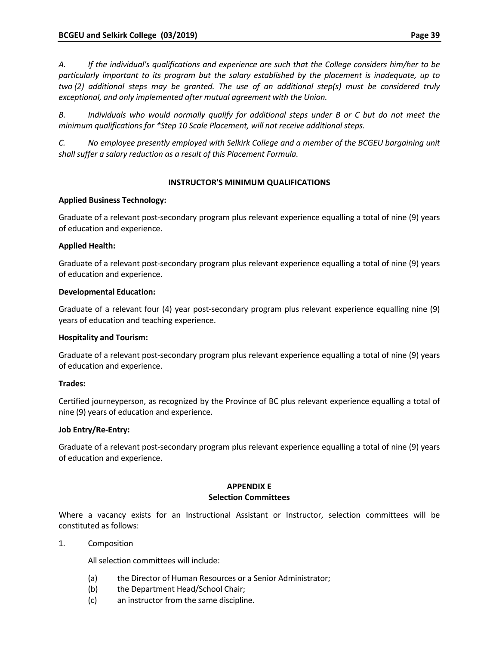*A. If the individual's qualifications and experience are such that the College considers him/her to be particularly important to its program but the salary established by the placement is inadequate, up to two (2) additional steps may be granted. The use of an additional step(s) must be considered truly exceptional, and only implemented after mutual agreement with the Union.*

*B. Individuals who would normally qualify for additional steps under B or C but do not meet the minimum qualifications for \*Step 10 Scale Placement, will not receive additional steps.* 

*C. No employee presently employed with Selkirk College and a member of the BCGEU bargaining unit shall suffer a salary reduction as a result of this Placement Formula.*

### **INSTRUCTOR'S MINIMUM QUALIFICATIONS**

# **Applied Business Technology:**

Graduate of a relevant post‐secondary program plus relevant experience equalling a total of nine (9) years of education and experience.

# **Applied Health:**

Graduate of a relevant post‐secondary program plus relevant experience equalling a total of nine (9) years of education and experience.

### **Developmental Education:**

Graduate of a relevant four (4) year post‐secondary program plus relevant experience equalling nine (9) years of education and teaching experience.

### **Hospitality and Tourism:**

Graduate of a relevant post‐secondary program plus relevant experience equalling a total of nine (9) years of education and experience.

### **Trades:**

Certified journeyperson, as recognized by the Province of BC plus relevant experience equalling a total of nine (9) years of education and experience.

### **Job Entry/Re‐Entry:**

Graduate of a relevant post‐secondary program plus relevant experience equalling a total of nine (9) years of education and experience.

# **APPENDIX E**

### **Selection Committees**

Where a vacancy exists for an Instructional Assistant or Instructor, selection committees will be constituted as follows:

1. Composition

All selection committees will include:

- (a) the Director of Human Resources or a Senior Administrator;
- (b) the Department Head/School Chair;
- (c) an instructor from the same discipline.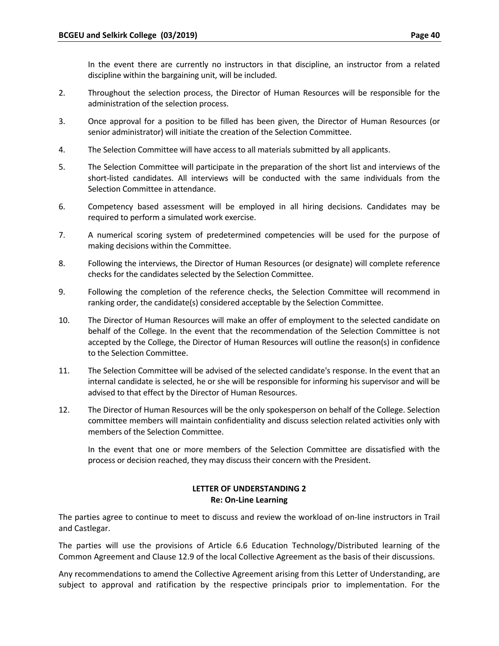In the event there are currently no instructors in that discipline, an instructor from a related discipline within the bargaining unit, will be included.

- 2. Throughout the selection process, the Director of Human Resources will be responsible for the administration of the selection process.
- 3. Once approval for a position to be filled has been given, the Director of Human Resources (or senior administrator) will initiate the creation of the Selection Committee.
- 4. The Selection Committee will have access to all materials submitted by all applicants.
- 5. The Selection Committee will participate in the preparation of the short list and interviews of the short-listed candidates. All interviews will be conducted with the same individuals from the Selection Committee in attendance.
- 6. Competency based assessment will be employed in all hiring decisions. Candidates may be required to perform a simulated work exercise.
- 7. A numerical scoring system of predetermined competencies will be used for the purpose of making decisions within the Committee.
- 8. Following the interviews, the Director of Human Resources (or designate) will complete reference checks for the candidates selected by the Selection Committee.
- 9. Following the completion of the reference checks, the Selection Committee will recommend in ranking order, the candidate(s) considered acceptable by the Selection Committee.
- 10. The Director of Human Resources will make an offer of employment to the selected candidate on behalf of the College. In the event that the recommendation of the Selection Committee is not accepted by the College, the Director of Human Resources will outline the reason(s) in confidence to the Selection Committee.
- 11. The Selection Committee will be advised of the selected candidate's response. In the event that an internal candidate is selected, he or she will be responsible for informing his supervisor and will be advised to that effect by the Director of Human Resources.
- 12. The Director of Human Resources will be the only spokesperson on behalf of the College. Selection committee members will maintain confidentiality and discuss selection related activities only with members of the Selection Committee.

In the event that one or more members of the Selection Committee are dissatisfied with the process or decision reached, they may discuss their concern with the President.

# **LETTER OF UNDERSTANDING 2 Re: On‐Line Learning**

The parties agree to continue to meet to discuss and review the workload of on‐line instructors in Trail and Castlegar.

The parties will use the provisions of Article 6.6 Education Technology/Distributed learning of the Common Agreement and Clause 12.9 of the local Collective Agreement as the basis of their discussions.

Any recommendations to amend the Collective Agreement arising from this Letter of Understanding, are subject to approval and ratification by the respective principals prior to implementation. For the